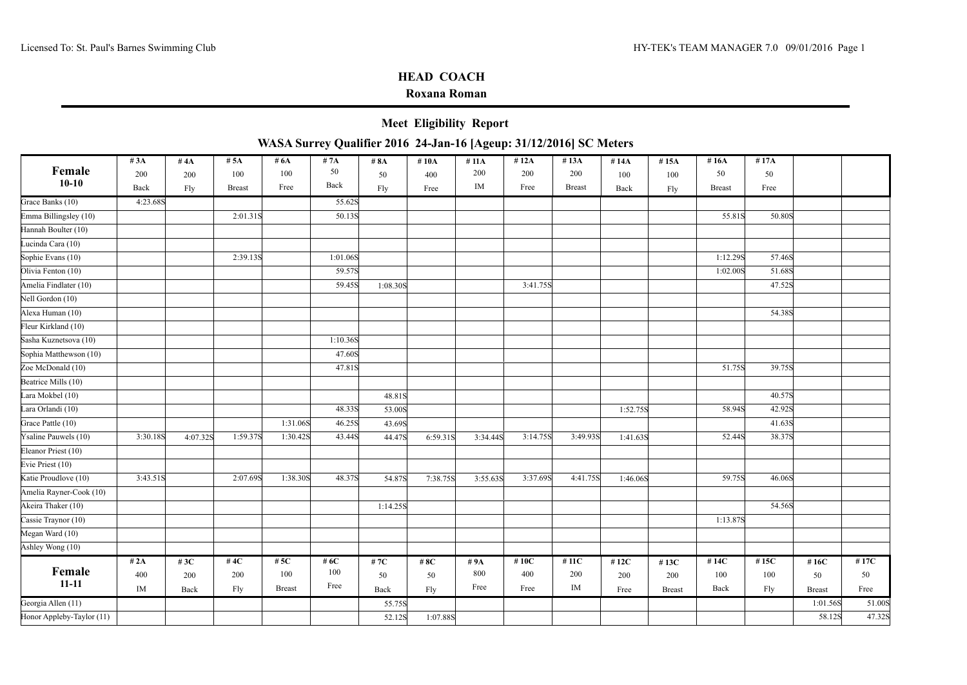## **Roxana Roman**

**Meet Eligibility Report**

|                           | #3A      | # $4A$   | # 5A          | # $6A$        | #7A      | # 8A     | # $10A$  | # 11A    | #12A     | # $13A$       | #14A     | #15A          | # $16A$       | #17A    |               |         |
|---------------------------|----------|----------|---------------|---------------|----------|----------|----------|----------|----------|---------------|----------|---------------|---------------|---------|---------------|---------|
| Female                    | 200      | 200      | 100           | 100           | 50       | 50       | 400      | 200      | 200      | 200           | 100      | 100           | 50            | 50      |               |         |
| $10-10$                   | Back     | Fly      | <b>Breast</b> | Free          | Back     | Fly      | Free     | $\rm IM$ | Free     | <b>Breast</b> | Back     | Fly           | <b>Breast</b> | Free    |               |         |
| Grace Banks (10)          | 4:23.68S |          |               |               | 55.62S   |          |          |          |          |               |          |               |               |         |               |         |
| Emma Billingsley (10)     |          |          | 2:01.318      |               | 50.13S   |          |          |          |          |               |          |               | 55.81S        | 50.80S  |               |         |
| Hannah Boulter (10)       |          |          |               |               |          |          |          |          |          |               |          |               |               |         |               |         |
| Lucinda Cara (10)         |          |          |               |               |          |          |          |          |          |               |          |               |               |         |               |         |
| Sophie Evans (10)         |          |          | 2:39.13S      |               | 1:01.06S |          |          |          |          |               |          |               | 1:12.298      | 57.46S  |               |         |
| Olivia Fenton (10)        |          |          |               |               | 59.57S   |          |          |          |          |               |          |               | 1:02.00S      | 51.68S  |               |         |
| Amelia Findlater (10)     |          |          |               |               | 59.45S   | 1:08.30S |          |          | 3:41.75S |               |          |               |               | 47.52S  |               |         |
| Nell Gordon (10)          |          |          |               |               |          |          |          |          |          |               |          |               |               |         |               |         |
| Alexa Human (10)          |          |          |               |               |          |          |          |          |          |               |          |               |               | 54.38S  |               |         |
| Fleur Kirkland (10)       |          |          |               |               |          |          |          |          |          |               |          |               |               |         |               |         |
| Sasha Kuznetsova (10)     |          |          |               |               | 1:10.36S |          |          |          |          |               |          |               |               |         |               |         |
| Sophia Matthewson (10)    |          |          |               |               | 47.60S   |          |          |          |          |               |          |               |               |         |               |         |
| Zoe McDonald (10)         |          |          |               |               | 47.81S   |          |          |          |          |               |          |               | 51.75S        | 39.75S  |               |         |
| Beatrice Mills (10)       |          |          |               |               |          |          |          |          |          |               |          |               |               |         |               |         |
| Lara Mokbel (10)          |          |          |               |               |          | 48.81S   |          |          |          |               |          |               |               | 40.57S  |               |         |
| Lara Orlandi (10)         |          |          |               |               | 48.33S   | 53.00S   |          |          |          |               | 1:52.75S |               | 58.94S        | 42.92S  |               |         |
| Grace Pattle (10)         |          |          |               | 1:31.06S      | 46.25S   | 43.69S   |          |          |          |               |          |               |               | 41.63S  |               |         |
| Ysaline Pauwels (10)      | 3:30.18S | 4:07.32S | 1:59.37S      | 1:30.42S      | 43.44S   | 44.47S   | 6:59.31S | 3:34.44S | 3:14.75S | 3:49.93S      | 1:41.63S |               | 52.44S        | 38.37S  |               |         |
| Eleanor Priest (10)       |          |          |               |               |          |          |          |          |          |               |          |               |               |         |               |         |
| Evie Priest (10)          |          |          |               |               |          |          |          |          |          |               |          |               |               |         |               |         |
| Katie Proudlove (10)      | 3:43.51S |          | 2:07.698      | 1:38.30S      | 48.37S   | 54.87S   | 7:38.75S | 3:55.63S | 3:37.69S | 4:41.75S      | 1:46.06S |               | 59.75S        | 46.06S  |               |         |
| Amelia Rayner-Cook (10)   |          |          |               |               |          |          |          |          |          |               |          |               |               |         |               |         |
| Akeira Thaker (10)        |          |          |               |               |          | 1:14.25S |          |          |          |               |          |               |               | 54.56S  |               |         |
| Cassie Traynor (10)       |          |          |               |               |          |          |          |          |          |               |          |               | 1:13.87S      |         |               |         |
| Megan Ward (10)           |          |          |               |               |          |          |          |          |          |               |          |               |               |         |               |         |
| Ashley Wong (10)          |          |          |               |               |          |          |          |          |          |               |          |               |               |         |               |         |
|                           | # 2A     | # $3C$   | #4 $C$        | # $5C$        | # $6C$   | #7 $C$   | #8C      | #9A      | # $10C$  | # $11C$       | #12C     | #13C          | #14 $C$       | # $15C$ | # $16C$       | #17 $C$ |
| Female                    | 400      | 200      | 200           | 100           | 100      | 50       | 50       | 800      | 400      | 200           | 200      | 200           | 100           | 100     | 50            | 50      |
| $11 - 11$                 | IM       | Back     | Fly           | <b>Breast</b> | Free     | Back     | Fly      | Free     | Free     | $\rm IM$      | Free     | <b>Breast</b> | Back          | Fly     | <b>Breast</b> | Free    |
| Georgia Allen (11)        |          |          |               |               |          | 55.75S   |          |          |          |               |          |               |               |         | 1:01.56S      | 51.00S  |
| Honor Appleby-Taylor (11) |          |          |               |               |          | 52.12S   | 1:07.88S |          |          |               |          |               |               |         | 58.12S        | 47.32S  |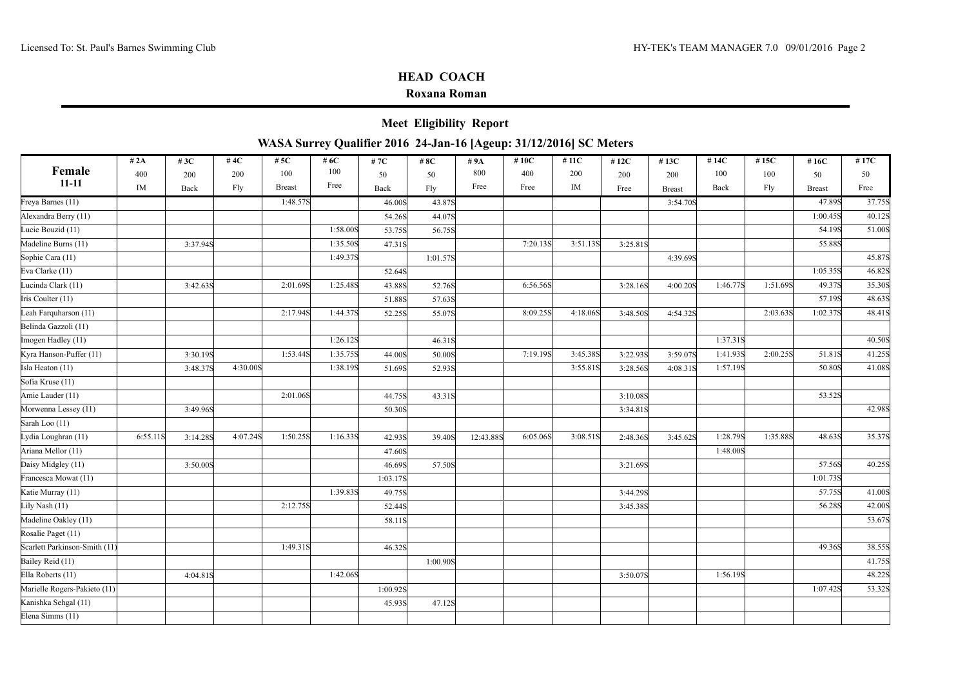### **Roxana Roman**

**Meet Eligibility Report**

|                               | # 2A     | # $3C$   | #4 $C$   | # $5C$        | #6C      | # $7C$   | #8C      | #9A       | #10C     | #11C     | #12 $C$  | #13C          | #14C     | #15C     | #16C          | #17C   |
|-------------------------------|----------|----------|----------|---------------|----------|----------|----------|-----------|----------|----------|----------|---------------|----------|----------|---------------|--------|
| Female                        | 400      | 200      | 200      | 100           | 100      | 50       | 50       | 800       | 400      | 200      | 200      | 200           | 100      | 100      | 50            | 50     |
| $11 - 11$                     | IM       | Back     | Fly      | <b>Breast</b> | Free     | Back     | Fly      | Free      | Free     | IM       | Free     | <b>Breast</b> | Back     | Fly      | <b>Breast</b> | Free   |
| Freya Barnes (11)             |          |          |          | 1:48.57S      |          | 46.00S   | 43.87S   |           |          |          |          | 3:54.70S      |          |          | 47.89S        | 37.75S |
| Alexandra Berry (11)          |          |          |          |               |          | 54.26S   | 44.07S   |           |          |          |          |               |          |          | 1:00.45S      | 40.12S |
| Lucie Bouzid (11)             |          |          |          |               | 1:58.00S | 53.75S   | 56.75S   |           |          |          |          |               |          |          | 54.19S        | 51.00S |
| Madeline Burns (11)           |          | 3:37.94S |          |               | 1:35.50S | 47.31S   |          |           | 7:20.13S | 3:51.13S | 3:25.81S |               |          |          | 55.88S        |        |
| Sophie Cara (11)              |          |          |          |               | 1:49.37S |          | 1:01.57S |           |          |          |          | 4:39.69S      |          |          |               | 45.87S |
| Eva Clarke (11)               |          |          |          |               |          | 52.64S   |          |           |          |          |          |               |          |          | 1:05.35S      | 46.82S |
| Lucinda Clark (11)            |          | 3:42.63S |          | 2:01.69S      | 1:25.48S | 43.88S   | 52.76S   |           | 6:56.56S |          | 3:28.16S | 4:00.20S      | 1:46.77S | 1:51.69S | 49.37S        | 35.30S |
| Iris Coulter (11)             |          |          |          |               |          | 51.88S   | 57.63S   |           |          |          |          |               |          |          | 57.19S        | 48.63S |
| Leah Farquharson (11)         |          |          |          | 2:17.94S      | 1:44.37S | 52.25S   | 55.07S   |           | 8:09.25S | 4:18.06S | 3:48.50S | 4:54.32S      |          | 2:03.63S | 1:02.37S      | 48.41S |
| Belinda Gazzoli (11)          |          |          |          |               |          |          |          |           |          |          |          |               |          |          |               |        |
| Imogen Hadley (11)            |          |          |          |               | 1:26.12S |          | 46.31S   |           |          |          |          |               | 1:37.31S |          |               | 40.50S |
| Kyra Hanson-Puffer (11)       |          | 3:30.19S |          | 1:53.44S      | 1:35.75S | 44.00S   | 50.00S   |           | 7:19.19S | 3:45.38S | 3:22.93S | 3:59.07S      | 1:41.93S | 2:00.25S | 51.81S        | 41.25S |
| Isla Heaton (11)              |          | 3:48.37S | 4:30.00S |               | 1:38.19S | 51.69S   | 52.93S   |           |          | 3:55.81S | 3:28.56S | 4:08.31S      | 1:57.19S |          | 50.80S        | 41.08S |
| Sofia Kruse (11)              |          |          |          |               |          |          |          |           |          |          |          |               |          |          |               |        |
| Amie Lauder (11)              |          |          |          | 2:01.06S      |          | 44.75S   | 43.31S   |           |          |          | 3:10.08S |               |          |          | 53.52S        |        |
| Morwenna Lessey (11)          |          | 3:49.96S |          |               |          | 50.30S   |          |           |          |          | 3:34.81S |               |          |          |               | 42.98S |
| Sarah Loo (11)                |          |          |          |               |          |          |          |           |          |          |          |               |          |          |               |        |
| Lydia Loughran (11)           | 6:55.11S | 3:14.28S | 4:07.24S | 1:50.25S      | 1:16.33S | 42.93S   | 39.40S   | 12:43.88S | 6:05.06S | 3:08.51S | 2:48.36S | 3:45.62S      | 1:28.79S | 1:35.88S | 48.63S        | 35.37S |
| Ariana Mellor (11)            |          |          |          |               |          | 47.60S   |          |           |          |          |          |               | 1:48.00S |          |               |        |
| Daisy Midgley (11)            |          | 3:50.00S |          |               |          | 46.69S   | 57.50S   |           |          |          | 3:21.69S |               |          |          | 57.56S        | 40.25S |
| Francesca Mowat (11)          |          |          |          |               |          | 1:03.17S |          |           |          |          |          |               |          |          | 1:01.73S      |        |
| Katie Murray (11)             |          |          |          |               | 1:39.83S | 49.75S   |          |           |          |          | 3:44.29S |               |          |          | 57.75S        | 41.00S |
| Lily Nash (11)                |          |          |          | 2:12.75S      |          | 52.44S   |          |           |          |          | 3:45.38S |               |          |          | 56.28S        | 42.00S |
| Madeline Oakley (11)          |          |          |          |               |          | 58.11S   |          |           |          |          |          |               |          |          |               | 53.67S |
| Rosalie Paget (11)            |          |          |          |               |          |          |          |           |          |          |          |               |          |          |               |        |
| Scarlett Parkinson-Smith (11) |          |          |          | 1:49.31S      |          | 46.32S   |          |           |          |          |          |               |          |          | 49.36S        | 38.55S |
| Bailey Reid (11)              |          |          |          |               |          |          | 1:00.90S |           |          |          |          |               |          |          |               | 41.75S |
| Ella Roberts (11)             |          | 4:04.81S |          |               | 1:42.06S |          |          |           |          |          | 3:50.07S |               | 1:56.19S |          |               | 48.22S |
| Marielle Rogers-Pakieto (11)  |          |          |          |               |          | 1:00.92S |          |           |          |          |          |               |          |          | 1:07.42S      | 53.32S |
| Kanishka Sehgal (11)          |          |          |          |               |          | 45.93S   | 47.12S   |           |          |          |          |               |          |          |               |        |
| Elena Simms (11)              |          |          |          |               |          |          |          |           |          |          |          |               |          |          |               |        |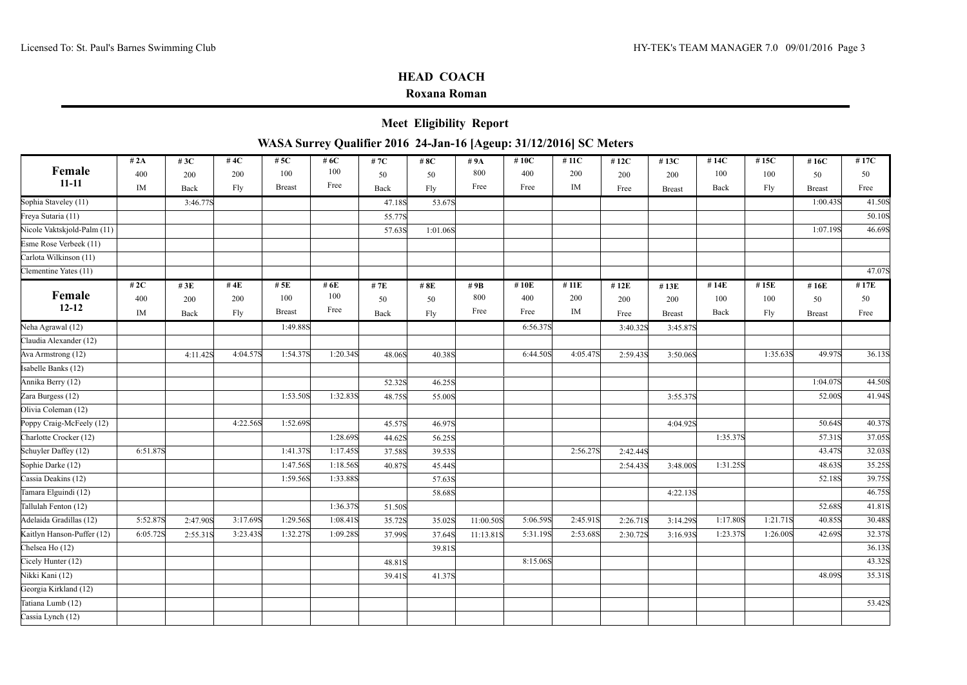## **Roxana Roman**

**Meet Eligibility Report**

| Female<br>100<br>800<br>400<br>400<br>200<br>100<br>200<br>100<br>100<br>50<br>200<br>50<br>50<br>200<br>200<br>$11 - 11$<br>Free<br>Free<br>IM<br>Free<br>IM<br>Fly<br><b>Breast</b><br>Back<br>Fly<br>Fly<br>Back<br>Back<br>Free<br><b>Breast</b><br><b>Breast</b> | 50<br>Free<br>41.50S |
|-----------------------------------------------------------------------------------------------------------------------------------------------------------------------------------------------------------------------------------------------------------------------|----------------------|
|                                                                                                                                                                                                                                                                       |                      |
|                                                                                                                                                                                                                                                                       |                      |
| 1:00.43S<br>Sophia Staveley (11)<br>3:46.77S<br>53.67S<br>47.18S                                                                                                                                                                                                      |                      |
| Freya Sutaria (11)<br>55.77S                                                                                                                                                                                                                                          | 50.10S               |
| Nicole Vaktskjold-Palm (11)<br>1:07.19S<br>57.63S<br>1:01.06S                                                                                                                                                                                                         | 46.69S               |
| Esme Rose Verbeek (11)                                                                                                                                                                                                                                                |                      |
| Carlota Wilkinson (11)                                                                                                                                                                                                                                                |                      |
| Clementine Yates (11)                                                                                                                                                                                                                                                 | 47.07S               |
| # $2C$<br># $4E$<br># $5E$<br># $6E$<br># $10E$<br># $11E$<br># $14E$<br># $15E$<br># $3E$<br>#7E<br># 8E<br>#9B<br>#12E<br>#16E<br>#13E                                                                                                                              | #17E                 |
| Female<br>100<br>800<br>100<br>400<br>200<br>400<br>200<br>100<br>100<br>200<br>50<br>50<br>50<br>200<br>200                                                                                                                                                          | 50                   |
| $12 - 12$<br>Free<br>IM<br>Free<br><b>Breast</b><br>Free<br>IM<br>Fly<br>Back<br>Fly<br>Back<br>Back<br>Fly<br>Free<br><b>Breast</b><br><b>Breast</b>                                                                                                                 | Free                 |
| Neha Agrawal (12)<br>6:56.37S<br>1:49.88S<br>3:40.32S<br>3:45.87S                                                                                                                                                                                                     |                      |
| Claudia Alexander (12)                                                                                                                                                                                                                                                |                      |
| 4:04.57S<br>1:54.37S<br>1:20.34S<br>1:35.63S<br>49.97S<br>Ava Armstrong (12)<br>6:44.50S<br>4:05.47S<br>4:11.42S<br>48.06S<br>40.38S<br>2:59.43S<br>3:50.06S                                                                                                          | 36.13S               |
| Isabelle Banks (12)                                                                                                                                                                                                                                                   |                      |
| Annika Berry (12)<br>1:04.07S<br>52.32S<br>46.25S                                                                                                                                                                                                                     | 44.50S               |
| Zara Burgess (12)<br>1:53.50S<br>1:32.838<br>52.00S<br>48.75S<br>55.00S<br>3:55.37S                                                                                                                                                                                   | 41.94S               |
| Olivia Coleman (12)                                                                                                                                                                                                                                                   |                      |
| 4:22.56S<br>50.64S<br>Poppy Craig-McFeely (12)<br>1:52.69S<br>45.57S<br>46.97S<br>4:04.92S                                                                                                                                                                            | 40.37S               |
| 1:28.69S<br>1:35.37S<br>57.31S<br>Charlotte Crocker (12)<br>44.62S<br>56.25S                                                                                                                                                                                          | 37.05S               |
| Schuyler Daffey (12)<br>6:51.87S<br>1:41.37S<br>1:17.45S<br>2:56.27S<br>43.47S<br>37.58S<br>39.53S<br>2:42.44S                                                                                                                                                        | 32.03S               |
| Sophie Darke (12)<br>1:47.56S<br>1:18.56S<br>1:31.25S<br>48.63S<br>40.87S<br>45.44S<br>2:54.438<br>3:48.00S                                                                                                                                                           | 35.25S               |
| Cassia Deakins (12)<br>1:59.56S<br>1:33.88S<br>52.18S<br>57.63S                                                                                                                                                                                                       | 39.75S               |
| Tamara Elguindi (12)<br>4:22.13S<br>58.68S                                                                                                                                                                                                                            | 46.75S               |
| Tallulah Fenton (12)<br>1:36.37S<br>52.68S<br>51.50S                                                                                                                                                                                                                  | 41.81S               |
| Adelaida Gradillas (12)<br>5:52.87S<br>3:17.69S<br>1:29.56S<br>5:06.59S<br>1:17.80S<br>1:21.71S<br>40.85S<br>1:08.41S<br>2:45.91S<br>2:47.90S<br>35.72S<br>35.02S<br>11:00.50S<br>2:26.71S<br>3:14.29S                                                                | 30.48S               |
| Kaitlyn Hanson-Puffer (12)<br>3:23.43S<br>1:32.27S<br>2:53.68S<br>1:26.00S<br>42.69S<br>6:05.72S<br>1:09.28S<br>5:31.19S<br>1:23.37S<br>2:55.31S<br>37.99S<br>37.64S<br>11:13.818<br>2:30.72S<br>3:16.93S                                                             | 32.37S               |
| Chelsea Ho (12)<br>39.81S                                                                                                                                                                                                                                             | 36.13S               |
| 8:15.06S<br>Cicely Hunter (12)<br>48.81S                                                                                                                                                                                                                              | 43.32S               |
| Nikki Kani (12)<br>48.09S<br>41.37S<br>39.41S                                                                                                                                                                                                                         | 35.31S               |
| Georgia Kirkland (12)                                                                                                                                                                                                                                                 |                      |
| Tatiana Lumb (12)                                                                                                                                                                                                                                                     | 53.42S               |
| Cassia Lynch (12)                                                                                                                                                                                                                                                     |                      |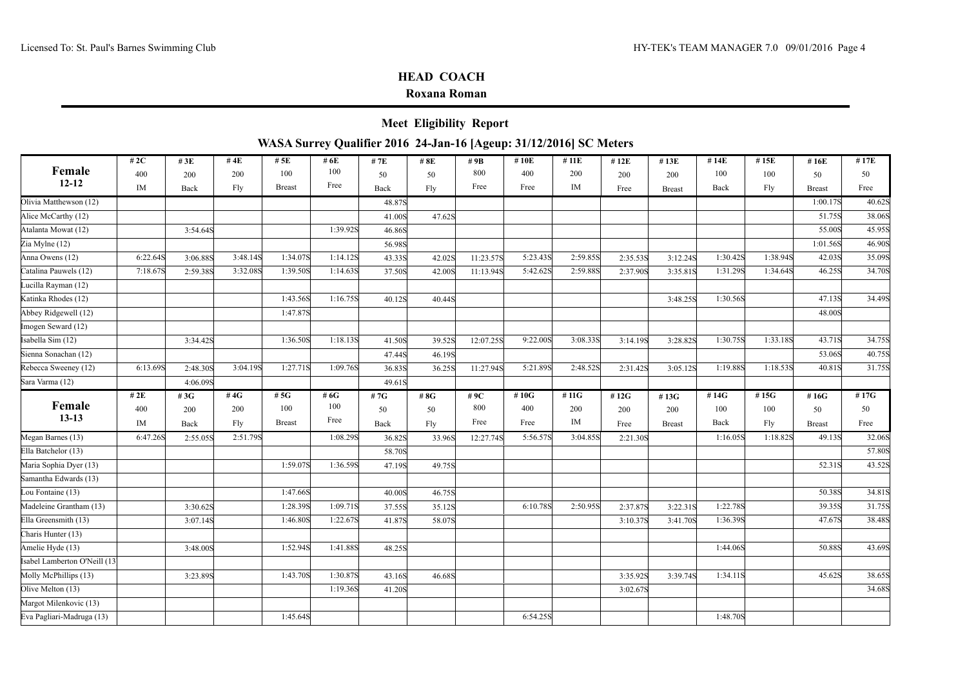### **Roxana Roman**

**Meet Eligibility Report**

| Female<br>100<br>800<br>400<br>100<br>400<br>200<br>200<br>200<br>50<br>50<br>200                                                                      | #14E<br>#13E          | #15E     | #16E          | #17E    |
|--------------------------------------------------------------------------------------------------------------------------------------------------------|-----------------------|----------|---------------|---------|
|                                                                                                                                                        | 100<br>200            | 100      | 50            | 50      |
| $12 - 12$<br>Free<br>Free<br>IM<br>$\rm IM$<br>Fly<br><b>Breast</b><br>Free<br>Fly<br>Back<br>Back<br>Free                                             | Back<br><b>Breast</b> | Fly      | <b>Breast</b> | Free    |
| Olivia Matthewson (12)<br>48.87S                                                                                                                       |                       |          | 1:00.17S      | 40.62S  |
| Alice McCarthy (12)<br>41.00S<br>47.62S                                                                                                                |                       |          | 51.75S        | 38.06S  |
| Atalanta Mowat (12)<br>1:39.92S<br>3:54.64S<br>46.86S                                                                                                  |                       |          | 55.00S        | 45.95S  |
| Zia Mylne (12)<br>56.98S                                                                                                                               |                       |          | 1:01.56S      | 46.90S  |
| 6:22.64S<br>3:48.14S<br>1:34.07S<br>1:14.12S<br>5:23.438<br>2:59.85S<br>Anna Owens (12)<br>11:23.578<br>3:06.88S<br>43.33S<br>42.02S<br>2:35.538       | 1:30.42S<br>3:12.24S  | 1:38.94S | 42.03S        | 35.09S  |
| Catalina Pauwels (12)<br>7:18.67S<br>3:32.08S<br>1:39.50S<br>1:14.63S<br>5:42.62S<br>2:59.88S<br>2:37.90S<br>2:59.38S<br>37.50S<br>42.00S<br>11:13.94S | 1:31.29S<br>3:35.81S  | 1:34.64S | 46.25S        | 34.70S  |
| Lucilla Rayman (12)                                                                                                                                    |                       |          |               |         |
| Katinka Rhodes (12)<br>1:43.56S<br>1:16.75S<br>40.12S<br>40.44S                                                                                        | 1:30.56S<br>3:48.25S  |          | 47.13S        | 34.49S  |
| Abbey Ridgewell (12)<br>1:47.87S                                                                                                                       |                       |          | 48.00S        |         |
| Imogen Seward (12)                                                                                                                                     |                       |          |               |         |
| Isabella Sim (12)<br>1:36.50S<br>1:18.138<br>9:22.00S<br>3:08.338<br>39.52S<br>12:07.25S<br>3:34.42S<br>41.50S<br>3:14.19S                             | 1:30.75S<br>3:28.82S  | 1:33.18S | 43.71S        | 34.75S  |
| Sienna Sonachan (12)<br>46.19S<br>47.44S                                                                                                               |                       |          | 53.06S        | 40.75S  |
| 1:27.71S<br>Rebecca Sweeney (12)<br>6:13.69S<br>3:04.19S<br>1:09.76S<br>5:21.89S<br>2:48.52S<br>11:27.94S<br>2:48.30S<br>36.83S<br>36.25S<br>2:31.42S  | 1:19.88S<br>3:05.12S  | 1:18.538 | 40.81S        | 31.75S  |
| Sara Varma (12)<br>4:06.098<br>49.61S                                                                                                                  |                       |          |               |         |
| # $5G$<br># $6G$<br>#11 $G$<br># $2E$<br>#4 $G$<br>#10G<br>#3G<br>#7G<br># 8G<br>#9C<br>#12G<br>#13G                                                   | #14G                  | # $15G$  | #16G          | #17 $G$ |
| Female<br>100<br>800<br>100<br>400<br>200<br>400<br>200<br>50<br>50<br>200<br>200<br>200                                                               | 100                   | 100      | 50            | 50      |
| $13 - 13$<br>Free<br>Free<br>IM<br>$\rm IM$<br><b>Breast</b><br>Free<br>Fly<br>Fly<br>Back<br>Back<br>Free                                             | Back<br><b>Breast</b> | Fly      | <b>Breast</b> | Free    |
| 2:51.79S<br>1:08.298<br>3:04.85S<br>Megan Barnes (13)<br>6:47.26S<br>5:56.57S<br>2:55.05S<br>36.82S<br>33.96S<br>12:27.74S<br>2:21.30S                 | 1:16.05S              | 1:18.82S | 49.13S        | 32.06S  |
| Ella Batchelor (13)<br>58.70S                                                                                                                          |                       |          |               | 57.80S  |
| Maria Sophia Dyer (13)<br>1:36.59S<br>1:59.07S<br>47.19S<br>49.75S                                                                                     |                       |          | 52.31S        | 43.52S  |
| Samantha Edwards (13)                                                                                                                                  |                       |          |               |         |
| 1:47.66S<br>Lou Fontaine (13)<br>40.00S<br>46.75S                                                                                                      |                       |          | 50.38S        | 34.81S  |
| 1:28.39S<br>1:09.71S<br>Madeleine Grantham (13)<br>6:10.78S<br>2:50.95S<br>35.12S<br>2:37.87S<br>3:30.62S<br>37.55S                                    | 1:22.78S<br>3:22.31S  |          | 39.35S        | 31.75S  |
| Ella Greensmith (13)<br>1:46.80S<br>1:22.67S<br>3:07.14S<br>41.87S<br>58.07S<br>3:10.37S                                                               | 1:36.39S<br>3:41.70S  |          | 47.67S        | 38.48S  |
| Charis Hunter (13)                                                                                                                                     |                       |          |               |         |
| Amelie Hyde (13)<br>1:52.94S<br>1:41.88S<br>3:48.00S<br>48.25S                                                                                         | 1:44.06S              |          | 50.88S        | 43.69S  |
|                                                                                                                                                        |                       |          |               |         |
| Isabel Lamberton O'Neill (13)                                                                                                                          |                       |          | 45.62S        | 38.65S  |
| Molly McPhillips (13)<br>1:43.70S<br>1:30.87S<br>3:35.92S<br>3:23.89S<br>43.16S<br>46.68S                                                              | 1:34.11S<br>3:39.74S  |          |               |         |
| Olive Melton (13)<br>1:19.36S<br>41.20S<br>3:02.67S                                                                                                    |                       |          |               |         |
| Margot Milenkovic (13)                                                                                                                                 |                       |          |               | 34.68S  |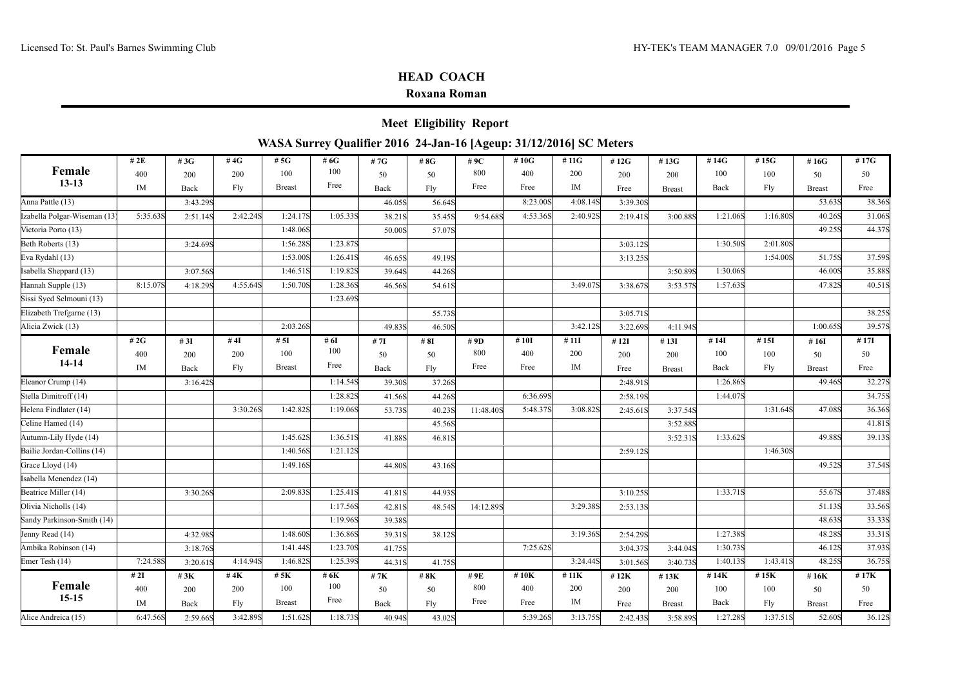|                              |          |          |          |                                                                    |          |        | <b>Meet Eligibility Report</b> |           |          |          |          |               |          |          |               |        |
|------------------------------|----------|----------|----------|--------------------------------------------------------------------|----------|--------|--------------------------------|-----------|----------|----------|----------|---------------|----------|----------|---------------|--------|
|                              |          |          |          | WASA Surrey Qualifier 2016 24-Jan-16 [Ageup: 31/12/2016] SC Meters |          |        |                                |           |          |          |          |               |          |          |               |        |
|                              | # $2E$   | # $3G$   | #4G      | # $5G$                                                             | #6G      | #7G    | # 8G                           | # $9C$    | # $10G$  | #11G     | #12G     | #13G          | #14G     | #15G     | #16G          | #17G   |
| Female                       | 400      | 200      | 200      | 100                                                                | 100      | 50     | 50                             | 800       | 400      | 200      | 200      | 200           | 100      | 100      | 50            | 50     |
| $13 - 13$                    | IM       | Back     | Fly      | <b>Breast</b>                                                      | Free     | Back   | Fly                            | Free      | Free     | IM       | Free     | <b>Breast</b> | Back     | Fly      | <b>Breast</b> | Free   |
| Anna Pattle (13)             |          | 3:43.29S |          |                                                                    |          | 46.05S | 56.64S                         |           | 8:23.00S | 4:08.14S | 3:39.30S |               |          |          | 53.63S        | 38.36S |
| Izabella Polgar-Wiseman (13) | 5:35.63S | 2:51.14S | 2:42.24S | 1:24.17S                                                           | 1:05.33S | 38.21S | 35.45S                         | 9:54.68S  | 4:53.36S | 2:40.92S | 2:19.41S | 3:00.88S      | 1:21.06S | 1:16.80S | 40.26S        | 31.06S |
| Victoria Porto (13)          |          |          |          | 1:48.06S                                                           |          | 50.00S | 57.07S                         |           |          |          |          |               |          |          | 49.25S        | 44.37S |
| Beth Roberts (13)            |          | 3:24.69S |          | 1:56.28S                                                           | 1:23.87S |        |                                |           |          |          | 3:03.12S |               | 1:30.50S | 2:01.80S |               |        |
| Eva Rydahl (13)              |          |          |          | 1:53.00S                                                           | 1:26.41S | 46.65S | 49.19S                         |           |          |          | 3:13.25S |               |          | 1:54.00S | 51.75S        | 37.59S |
| Isabella Sheppard (13)       |          | 3:07.56S |          | 1:46.51S                                                           | 1:19.82S | 39.64S | 44.26S                         |           |          |          |          | 3:50.89S      | 1:30.06S |          | 46.00S        | 35.88S |
| Hannah Supple (13)           | 8:15.07S | 4:18.29S | 4:55.64S | 1:50.70S                                                           | 1:28.36S | 46.56S | 54.61S                         |           |          | 3:49.07S | 3:38.67S | 3:53.57S      | 1:57.63S |          | 47.82S        | 40.51S |
| Sissi Syed Selmouni (13)     |          |          |          |                                                                    | 1:23.69S |        |                                |           |          |          |          |               |          |          |               |        |
| Elizabeth Trefgarne (13)     |          |          |          |                                                                    |          |        | 55.73S                         |           |          |          | 3:05.71S |               |          |          |               | 38.25S |
| Alicia Zwick (13)            |          |          |          | 2:03.26S                                                           |          | 49.83S | 46.50S                         |           |          | 3:42.12S | 3:22.69S | 4:11.94S      |          |          | 1:00.65S      | 39.57S |
|                              | # $2G$   | #3I      | # $4I$   | # 5I                                                               | # $6I$   | # 7I   | # $8I$                         | # 9D      | #10I     | #11I     | #12I     | #13I          | #14I     | #15I     | #16I          | # 17I  |
| Female<br>14-14              | 400      | 200      | 200      | 100                                                                | 100      | 50     | 50                             | 800       | 400      | 200      | 200      | 200           | 100      | 100      | 50            | 50     |
|                              | IM       | Back     | Fly      | <b>Breast</b>                                                      | Free     | Back   | Fly                            | Free      | Free     | IM       | Free     | <b>Breast</b> | Back     | Fly      | <b>Breast</b> | Free   |
| Eleanor Crump (14)           |          | 3:16.42S |          |                                                                    | 1:14.54S | 39.30S | 37.26S                         |           |          |          | 2:48.91S |               | 1:26.86S |          | 49.46S        | 32.27S |
| Stella Dimitroff (14)        |          |          |          |                                                                    | 1:28.82S | 41.56S | 44.26S                         |           | 6:36.69S |          | 2:58.19S |               | 1:44.07S |          |               | 34.75S |
| Helena Findlater (14)        |          |          | 3:30.26S | 1:42.82S                                                           | 1:19.06S | 53.73S | 40.23S                         | 11:48.40S | 5:48.37S | 3:08.82S | 2:45.61S | 3:37.54S      |          | 1:31.64S | 47.08S        | 36.36S |
| Celine Hamed (14)            |          |          |          |                                                                    |          |        | 45.56S                         |           |          |          |          | 3:52.88S      |          |          |               | 41.81S |
| Autumn-Lily Hyde (14)        |          |          |          | 1:45.62S                                                           | 1:36.51S | 41.88S | 46.81S                         |           |          |          |          | 3:52.31S      | 1:33.62S |          | 49.88S        | 39.13S |
| Bailie Jordan-Collins (14)   |          |          |          | 1:40.56S                                                           | 1:21.12S |        |                                |           |          |          | 2:59.12S |               |          | 1:46.30S |               |        |
| Grace Lloyd (14)             |          |          |          | 1:49.16S                                                           |          | 44.80S | 43.16S                         |           |          |          |          |               |          |          | 49.52S        | 37.54S |
| Isabella Menendez (14)       |          |          |          |                                                                    |          |        |                                |           |          |          |          |               |          |          |               |        |
| Beatrice Miller (14)         |          | 3:30.26S |          | 2:09.83S                                                           | 1:25.41S | 41.81S | 44.93S                         |           |          |          | 3:10.25S |               | 1:33.71S |          | 55.67S        | 37.48S |
| Olivia Nicholls (14)         |          |          |          |                                                                    | 1:17.56S | 42.81S | 48.54S                         | 14:12.89S |          | 3:29.38S | 2:53.13S |               |          |          | 51.13S        | 33.56S |
| Sandy Parkinson-Smith (14)   |          |          |          |                                                                    | 1:19.96S | 39.38S |                                |           |          |          |          |               |          |          | 48.63S        | 33.33S |
| Jenny Read (14)              |          | 4:32.98S |          | 1:48.60S                                                           | 1:36.86S | 39.31S | 38.12S                         |           |          | 3:19.36S | 2:54.29S |               | 1:27.38S |          | 48.28S        | 33.31S |
| Ambika Robinson (14)         |          | 3:18.76S |          | 1:41.44S                                                           | 1:23.70S | 41.75S |                                |           | 7:25.62S |          | 3:04.37S | 3:44.04S      | 1:30.73S |          | 46.12S        | 37.93S |
| Emer Tesh (14)               | 7:24.58S | 3:20.61S | 4:14.94S | 1:46.82S                                                           | 1:25.39S | 44.31S | 41.75S                         |           |          | 3:24.44S | 3:01.56S | 3:40.73S      | 1:40.13S | 1:43.41S | 48.25S        | 36.75S |
|                              | #2I      | #3K      | #4K      | # $5K$                                                             | # 6K     | #7K    | #8K                            | # 9E      | #10K     | #11K     | #12K     | #13K          | #14K     | #15K     | #16K          | # 17K  |
| Female<br>$15-15$            | 400      | 200      | 200      | 100                                                                | 100      | 50     | 50                             | 800       | 400      | 200      | 200      | 200           | 100      | 100      | 50            | 50     |
|                              | IM       | Back     | Fly      | <b>Breast</b>                                                      | Free     | Back   | Fly                            | Free      | Free     | IM       | Free     | <b>Breast</b> | Back     | Fly      | <b>Breast</b> | Free   |
| Alice Andreica (15)          | 6:47.56S | 2:59.66S | 3:42.89S | 1:51.62S                                                           | 1:18.73S | 40.94S | 43.02S                         |           | 5:39.26S | 3:13.75S | 2:42.43S | 3:58.89S      | 1:27.28S | 1:37.51S | 52.60S        | 36.12S |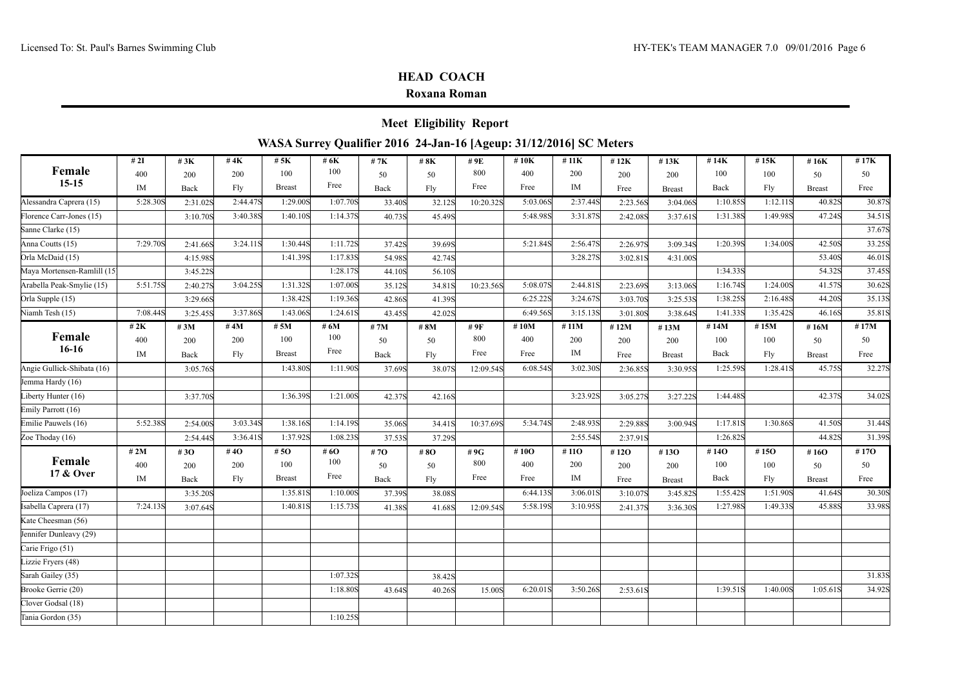Carie Frigo (51) Lizzie Fryers (48)

Clover Godsal (18)

Tania Gordon (35) 1:10.25S

### **HEAD COACH**

#### **Roxana Roman**

|                             |          |          |          |                                                                    |          |                  | <b>Meet Eligibility Report</b> |           |          |          |          |               |          |          |               |        |
|-----------------------------|----------|----------|----------|--------------------------------------------------------------------|----------|------------------|--------------------------------|-----------|----------|----------|----------|---------------|----------|----------|---------------|--------|
|                             |          |          |          | WASA Surrey Qualifier 2016 24-Jan-16 [Ageup: 31/12/2016] SC Meters |          |                  |                                |           |          |          |          |               |          |          |               |        |
|                             | # $2I$   | #3K      | #4 $K$   | # 5K                                                               | # 6K     | # $7K$           | #8K                            | # 9E      | #10K     | # $11K$  | #12K     | #13K          | #14K     | #15K     | #16K          | #17K   |
| Female                      | 400      | 200      | 200      | 100                                                                | 100      | 50               | 50                             | 800       | 400      | 200      | 200      | 200           | 100      | 100      | 50            | 50     |
| $15 - 15$                   | IM       | Back     | Fly      | <b>Breast</b>                                                      | Free     | Back             | Fly                            | Free      | Free     | IM       | Free     | <b>Breast</b> | Back     | Fly      | <b>Breast</b> | Free   |
| Alessandra Caprera (15)     | 5:28.30S | 2:31.02S | 2:44.47S | 1:29.00S                                                           | 1:07.70S | 33.40S           | 32.12S                         | 10:20.32S | 5:03.06S | 2:37.44S | 2:23.56S | 3:04.06S      | 1:10.85S | 1:12.11S | 40.82S        | 30.87S |
| Florence Carr-Jones (15)    |          | 3:10.70S | 3:40.38S | 1:40.10S                                                           | 1:14.37S | 40.73S           | 45.49S                         |           | 5:48.98S | 3:31.87S | 2:42.08S | 3:37.61S      | 1:31.38S | 1:49.98S | 47.24S        | 34.51S |
| Sanne Clarke (15)           |          |          |          |                                                                    |          |                  |                                |           |          |          |          |               |          |          |               | 37.67S |
| Anna Coutts (15)            | 7:29.70S | 2:41.66S | 3:24.11S | 1:30.44S                                                           | 1:11.72S | 37.42S           | 39.69S                         |           | 5:21.84S | 2:56.47S | 2:26.97S | 3:09.34S      | 1:20.39S | 1:34.00S | 42.50S        | 33.25S |
| Orla McDaid (15)            |          | 4:15.98S |          | 1:41.39S                                                           | 1:17.83S | 54.98S           | 42.74S                         |           |          | 3:28.27S | 3:02.81S | 4:31.00S      |          |          | 53.40S        | 46.01S |
| Maya Mortensen-Ramlill (15) |          | 3:45.22S |          |                                                                    | 1:28.17S | 44.10S           | 56.10S                         |           |          |          |          |               | 1:34.338 |          | 54.32S        | 37.45S |
| Arabella Peak-Smylie (15)   | 5:51.75S | 2:40.27S | 3:04.25S | 1:31.32S                                                           | 1:07.00S | 35.12S           | 34.81S                         | 10:23.56S | 5:08.07S | 2:44.81S | 2:23.69S | 3:13.06S      | 1:16.74S | 1:24.00S | 41.57S        | 30.62S |
| Orla Supple (15)            |          | 3:29.66S |          | 1:38.42S                                                           | 1:19.36S | 42.86S           | 41.39S                         |           | 6:25.22S | 3:24.67S | 3:03.70S | 3:25.53S      | 1:38.25S | 2:16.48S | 44.20S        | 35.13S |
| Niamh Tesh (15)             | 7:08.44S | 3:25.45S | 3:37.86S | 1:43.06S                                                           | 1:24.61S | 43.45S           | 42.02S                         |           | 6:49.56S | 3:15.13S | 3:01.80S | 3:38.64S      | 1:41.338 | 1:35.42S | 46.16S        | 35.81S |
|                             | # $2K$   | #3M      | # $4M$   | # 5M                                                               | # 6M     | #7M              | #8M                            | # 9F      | #10M     | #11M     | #12M     | #13M          | #14M     | #15M     | #16M          | #17M   |
| Female                      | 400      | 200      | 200      | 100                                                                | 100      | 50               | 50                             | 800       | 400      | 200      | 200      | 200           | 100      | 100      | 50            | 50     |
| $16-16$                     | IM       | Back     | Fly      | <b>Breast</b>                                                      | Free     | Back             | Fly                            | Free      | Free     | IM       | Free     | <b>Breast</b> | Back     | Fly      | <b>Breast</b> | Free   |
| Angie Gullick-Shibata (16)  |          | 3:05.76S |          | 1:43.80S                                                           | 1:11.90S | 37.69S           | 38.07S                         | 12:09.54S | 6:08.54S | 3:02.30S | 2:36.85S | 3:30.95S      | 1:25.59S | 1:28.41S | 45.75S        | 32.27S |
| Jemma Hardy (16)            |          |          |          |                                                                    |          |                  |                                |           |          |          |          |               |          |          |               |        |
| Liberty Hunter (16)         |          | 3:37.70S |          | 1:36.398                                                           | 1:21.00S | 42.37S           | 42.16S                         |           |          | 3:23.92S | 3:05.27S | 3:27.22S      | 1:44.48S |          | 42.37S        | 34.02S |
| Emily Parrott (16)          |          |          |          |                                                                    |          |                  |                                |           |          |          |          |               |          |          |               |        |
| Emilie Pauwels (16)         | 5:52.38S | 2:54.00S | 3:03.34S | 1:38.16S                                                           | 1:14.19S | 35.06S           | 34.41S                         | 10:37.69S | 5:34.74S | 2:48.938 | 2:29.885 | 3:00.94S      | 1:17.81S | 1:30.86S | 41.50S        | 31.44S |
| Zoe Thoday (16)             |          | 2:54.44S | 3:36.41S | 1:37.92S                                                           | 1:08.238 | 37.53S           | 37.29S                         |           |          | 2:55.54S | 2:37.918 |               | 1:26.82S |          | 44.82S        | 31.39S |
|                             | # 2M     | # $30$   | #40      | #50                                                                | # 6O     | # 7 $\mathbf{O}$ | #8O                            | #9G       | # $10O$  | #110     | #12O     | #130          | #140     | #150     | #16O          | #170   |
| Female                      | 400      | 200      | 200      | 100                                                                | 100      | 50               | 50                             | 800       | 400      | 200      | 200      | 200           | 100      | 100      | 50            | 50     |
| 17 & Over                   | IM       | Back     | Fly      | <b>Breast</b>                                                      | Free     | Back             | Fly                            | Free      | Free     | $\rm IM$ | Free     | <b>Breast</b> | Back     | Fly      | <b>Breast</b> | Free   |
| Joeliza Campos (17)         |          | 3:35.20S |          | 1:35.81S                                                           | 1:10.00S | 37.39S           | 38.08S                         |           | 6:44.13S | 3:06.01S | 3:10.07S | 3:45.82S      | 1:55.42S | 1:51.90S | 41.64S        | 30.30S |
| Isabella Caprera (17)       | 7:24.13S | 3:07.64S |          | 1:40.81S                                                           | 1:15.73S | 41.38S           | 41.68S                         | 12:09.54S | 5:58.19S | 3:10.95S | 2:41.37S | 3:36.30S      | 1:27.98S | 1:49.33S | 45.88S        | 33.98S |
| Kate Cheesman (56)          |          |          |          |                                                                    |          |                  |                                |           |          |          |          |               |          |          |               |        |
| Jennifer Dunleavy (29)      |          |          |          |                                                                    |          |                  |                                |           |          |          |          |               |          |          |               |        |

Sarah Gailey (35) 1:07.32S 38.42S 31.83S Brooke Gerrie (20) 1:18.80S 43.64S 40.26S 15.00S 6:20.01S 3:50.26S 2:53.61S 1:39.51S 1:40.00S 1:05.61S 34.92S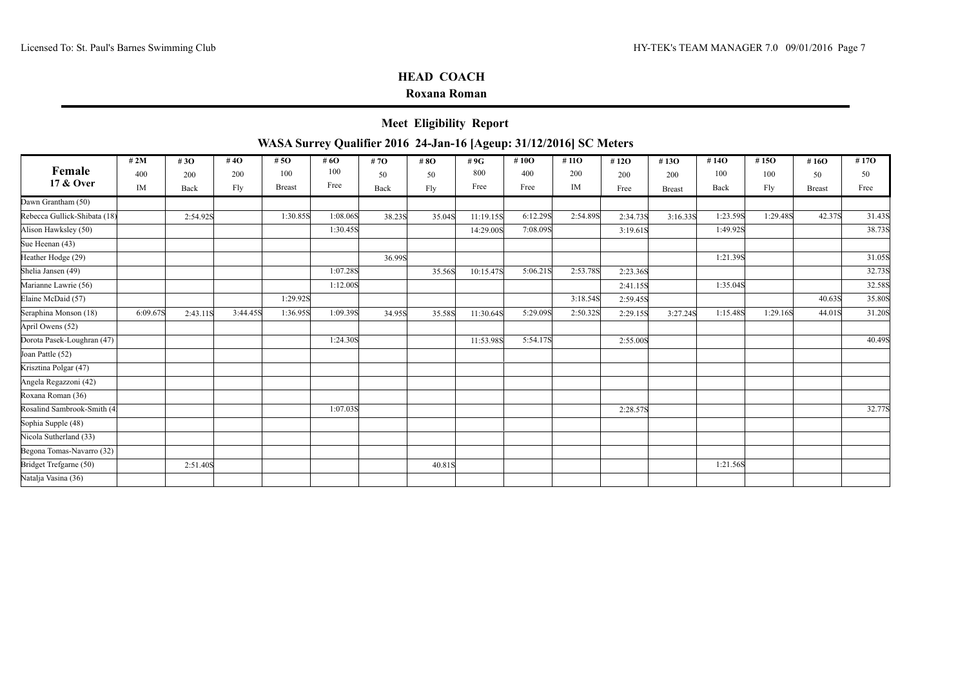### **Roxana Roman**

**Meet Eligibility Report**

|                              | # $2M$   | #30      | #40      | # 5 $\Omega$  | # 6O     | # 7 $\mathbf{O}$ | #8O    | #9G       | # $10O$  | # $110$  | #12 $O$  | #13O          | #14O     | #15O     | #16O          | #17O   |
|------------------------------|----------|----------|----------|---------------|----------|------------------|--------|-----------|----------|----------|----------|---------------|----------|----------|---------------|--------|
| Female                       | 400      | 200      | 200      | 100           | 100      | 50               | 50     | 800       | 400      | 200      | 200      | 200           | 100      | 100      | 50            | 50     |
| 17 & Over                    | IM       | Back     | Fly      | <b>Breast</b> | Free     | Back             | Fly    | Free      | Free     | IM       | Free     | <b>Breast</b> | Back     | Fly      | <b>Breast</b> | Free   |
| Dawn Grantham (50)           |          |          |          |               |          |                  |        |           |          |          |          |               |          |          |               |        |
| Rebecca Gullick-Shibata (18) |          | 2:54.92S |          | 1:30.85S      | 1:08.06S | 38.23S           | 35.04S | 11:19.15S | 6:12.298 | 2:54.89S | 2:34.73S | 3:16.33S      | 1:23.59S | 1:29.48S | 42.37S        | 31.43S |
| Alison Hawksley (50)         |          |          |          |               | 1:30.45S |                  |        | 14:29.00S | 7:08.09S |          | 3:19.61S |               | 1:49.92S |          |               | 38.73S |
| Sue Heenan (43)              |          |          |          |               |          |                  |        |           |          |          |          |               |          |          |               |        |
| Heather Hodge (29)           |          |          |          |               |          | 36.99S           |        |           |          |          |          |               | 1:21.398 |          |               | 31.05S |
| Shelia Jansen (49)           |          |          |          |               | 1:07.28S |                  | 35.56S | 10:15.47S | 5:06.21S | 2:53.78S | 2:23.36S |               |          |          |               | 32.73S |
| Marianne Lawrie (56)         |          |          |          |               | 1:12.00S |                  |        |           |          |          | 2:41.15S |               | 1:35.04S |          |               | 32.58S |
| Elaine McDaid (57)           |          |          |          | 1:29.92S      |          |                  |        |           |          | 3:18.54S | 2:59.45S |               |          |          | 40.63S        | 35.80S |
| Seraphina Monson (18)        | 6:09.67S | 2:43.11S | 3:44.45S | 1:36.95S      | 1:09.39S | 34.95S           | 35.58S | 11:30.64S | 5:29.09S | 2:50.32S | 2:29.15S | 3:27.24S      | 1:15.48S | 1:29.16S | 44.01S        | 31.20S |
| April Owens (52)             |          |          |          |               |          |                  |        |           |          |          |          |               |          |          |               |        |
| Dorota Pasek-Loughran (47)   |          |          |          |               | 1:24.30S |                  |        | 11:53.98S | 5:54.17S |          | 2:55.00S |               |          |          |               | 40.49S |
| Joan Pattle (52)             |          |          |          |               |          |                  |        |           |          |          |          |               |          |          |               |        |
| Krisztina Polgar (47)        |          |          |          |               |          |                  |        |           |          |          |          |               |          |          |               |        |
| Angela Regazzoni (42)        |          |          |          |               |          |                  |        |           |          |          |          |               |          |          |               |        |
| Roxana Roman (36)            |          |          |          |               |          |                  |        |           |          |          |          |               |          |          |               |        |
| Rosalind Sambrook-Smith (4:  |          |          |          |               | 1:07.03S |                  |        |           |          |          | 2:28.57S |               |          |          |               | 32.77S |
| Sophia Supple (48)           |          |          |          |               |          |                  |        |           |          |          |          |               |          |          |               |        |
| Nicola Sutherland (33)       |          |          |          |               |          |                  |        |           |          |          |          |               |          |          |               |        |
| Begona Tomas-Navarro (32)    |          |          |          |               |          |                  |        |           |          |          |          |               |          |          |               |        |
| Bridget Trefgarne (50)       |          | 2:51.40S |          |               |          |                  | 40.81S |           |          |          |          |               | 1:21.56S |          |               |        |
| Natalja Vasina (36)          |          |          |          |               |          |                  |        |           |          |          |          |               |          |          |               |        |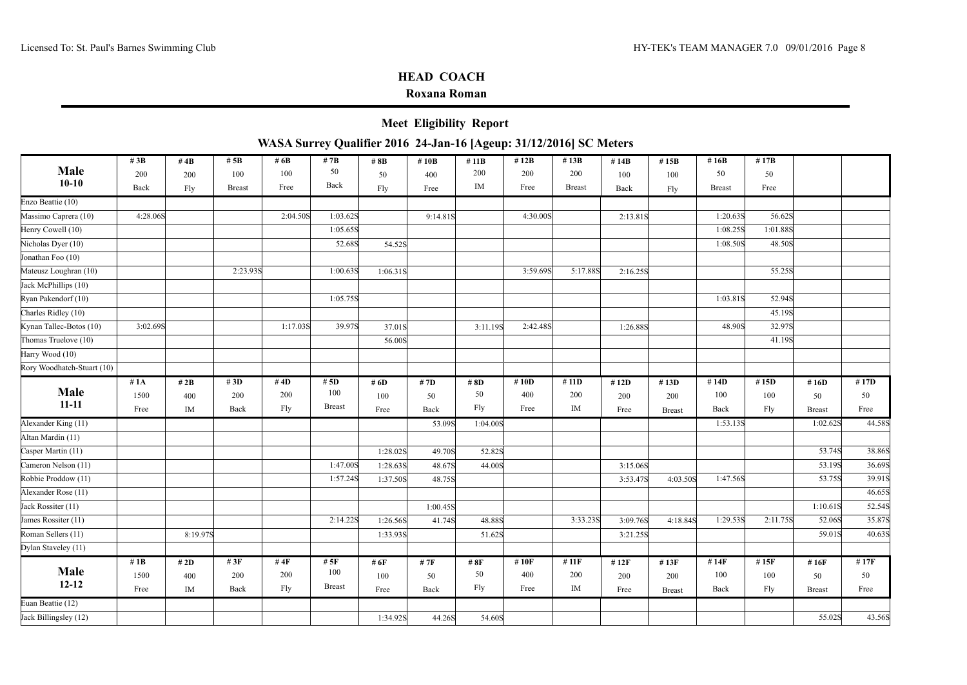| <b>Meet Eligibility Report</b>                                     |  |
|--------------------------------------------------------------------|--|
| WASA Surrey Qualifier 2016 24-Jan-16 [Ageup: 31/12/2016] SC Meters |  |

|                            | # $3B$   | #4 $B$    | # $5B$        | # 6B     | # $7B$        | # 8B     | #10 $B$  | #11B     | # $12B$  | #13B          | #14B     | #15B          | #16 $B$       | #17B     |               |        |
|----------------------------|----------|-----------|---------------|----------|---------------|----------|----------|----------|----------|---------------|----------|---------------|---------------|----------|---------------|--------|
| Male                       | 200      | 200       | 100           | 100      | 50            | 50       | 400      | 200      | 200      | 200           | 100      | 100           | 50            | 50       |               |        |
| $10-10$                    | Back     | Fly       | <b>Breast</b> | Free     | Back          | Fly      | Free     | IM       | Free     | <b>Breast</b> | Back     | Fly           | <b>Breast</b> | Free     |               |        |
| Enzo Beattie (10)          |          |           |               |          |               |          |          |          |          |               |          |               |               |          |               |        |
| Massimo Caprera (10)       | 4:28.06S |           |               | 2:04.50S | 1:03.62S      |          | 9:14.81S |          | 4:30.00S |               | 2:13.81S |               | 1:20.63S      | 56.62S   |               |        |
| Henry Cowell (10)          |          |           |               |          | 1:05.65S      |          |          |          |          |               |          |               | 1:08.25S      | 1:01.88S |               |        |
| Nicholas Dyer (10)         |          |           |               |          | 52.68S        | 54.52S   |          |          |          |               |          |               | 1:08.50S      | 48.50S   |               |        |
| Jonathan Foo (10)          |          |           |               |          |               |          |          |          |          |               |          |               |               |          |               |        |
| Mateusz Loughran (10)      |          |           | 2:23.938      |          | 1:00.63S      | 1:06.31S |          |          | 3:59.69S | 5:17.88S      | 2:16.25S |               |               | 55.25S   |               |        |
| Jack McPhillips (10)       |          |           |               |          |               |          |          |          |          |               |          |               |               |          |               |        |
| Ryan Pakendorf (10)        |          |           |               |          | 1:05.75S      |          |          |          |          |               |          |               | 1:03.81S      | 52.94S   |               |        |
| Charles Ridley (10)        |          |           |               |          |               |          |          |          |          |               |          |               |               | 45.19S   |               |        |
| Kynan Tallec-Botos (10)    | 3:02.69S |           |               | 1:17.03S | 39.97S        | 37.01S   |          | 3:11.19S | 2:42.48S |               | 1:26.88S |               | 48.90S        | 32.97S   |               |        |
| Thomas Truelove (10)       |          |           |               |          |               | 56.00S   |          |          |          |               |          |               |               | 41.19S   |               |        |
| Harry Wood (10)            |          |           |               |          |               |          |          |          |          |               |          |               |               |          |               |        |
| Rory Woodhatch-Stuart (10) |          |           |               |          |               |          |          |          |          |               |          |               |               |          |               |        |
|                            | #1A      | # 2B      | #3D           | #4D      | # $5D$        | # $6D$   | # 7D     | #8D      | # $10D$  | #11D          | #12D     | #13D          | #14D          | #15D     | #16D          | #17D   |
| Male                       | 1500     | 400       | 200           | 200      | 100           | 100      | 50       | 50       | 400      | 200           | 200      | 200           | 100           | 100      | 50            | 50     |
| $11 - 11$                  | Free     | IM        | Back          | Fly      | <b>Breast</b> | Free     | Back     | Fly      | Free     | IM            | Free     | <b>Breast</b> | Back          | Fly      | <b>Breast</b> | Free   |
| Alexander King (11)        |          |           |               |          |               |          | 53.09S   | 1:04.00S |          |               |          |               | 1:53.13S      |          | 1:02.62S      | 44.58S |
| Altan Mardin (11)          |          |           |               |          |               |          |          |          |          |               |          |               |               |          |               |        |
| Casper Martin (11)         |          |           |               |          |               | 1:28.02S | 49.70S   | 52.82S   |          |               |          |               |               |          | 53.74S        | 38.86S |
| Cameron Nelson (11)        |          |           |               |          | 1:47.00S      | 1:28.63S | 48.67S   | 44.00S   |          |               | 3:15.06S |               |               |          | 53.19S        | 36.69S |
| Robbie Proddow (11)        |          |           |               |          | 1:57.24S      | 1:37.50S | 48.75S   |          |          |               | 3:53.47S | 4:03.50S      | 1:47.56S      |          | 53.75S        | 39.91S |
| Alexander Rose (11)        |          |           |               |          |               |          |          |          |          |               |          |               |               |          |               | 46.65S |
| Jack Rossiter (11)         |          |           |               |          |               |          | 1:00.45S |          |          |               |          |               |               |          | 1:10.61S      | 52.54S |
| James Rossiter (11)        |          |           |               |          | 2:14.22S      | 1:26.56S | 41.74S   | 48.88S   |          | 3:33.238      | 3:09.76S | 4:18.84S      | 1:29.53S      | 2:11.75S | 52.06S        | 35.87S |
| Roman Sellers (11)         |          | 8:19.97S  |               |          |               | 1:33.938 |          | 51.62S   |          |               | 3:21.25S |               |               |          | 59.01S        | 40.63S |
| Dylan Staveley (11)        |          |           |               |          |               |          |          |          |          |               |          |               |               |          |               |        |
|                            | # $1B$   | # $2D$    | #3F           | # $4F$   | # $5F$        | # 6F     | # $7F$   | #8F      | #10F     | # 11F         | #12F     | #13F          | #14F          | #15F     | #16F          | #17F   |
| Male                       | 1500     | 400       | 200           | 200      | 100           | 100      | 50       | 50       | 400      | 200           | 200      | 200           | 100           | 100      | 50            | 50     |
| $12 - 12$                  | Free     | <b>IM</b> | Back          | Fly      | <b>Breast</b> | Free     | Back     | Fly      | Free     | IM            | Free     | <b>Breast</b> | Back          | Fly      | <b>Breast</b> | Free   |
| Euan Beattie (12)          |          |           |               |          |               |          |          |          |          |               |          |               |               |          |               |        |
| Jack Billingsley (12)      |          |           |               |          |               | 1:34.92S | 44.26S   | 54.60S   |          |               |          |               |               |          | 55.02S        | 43.56S |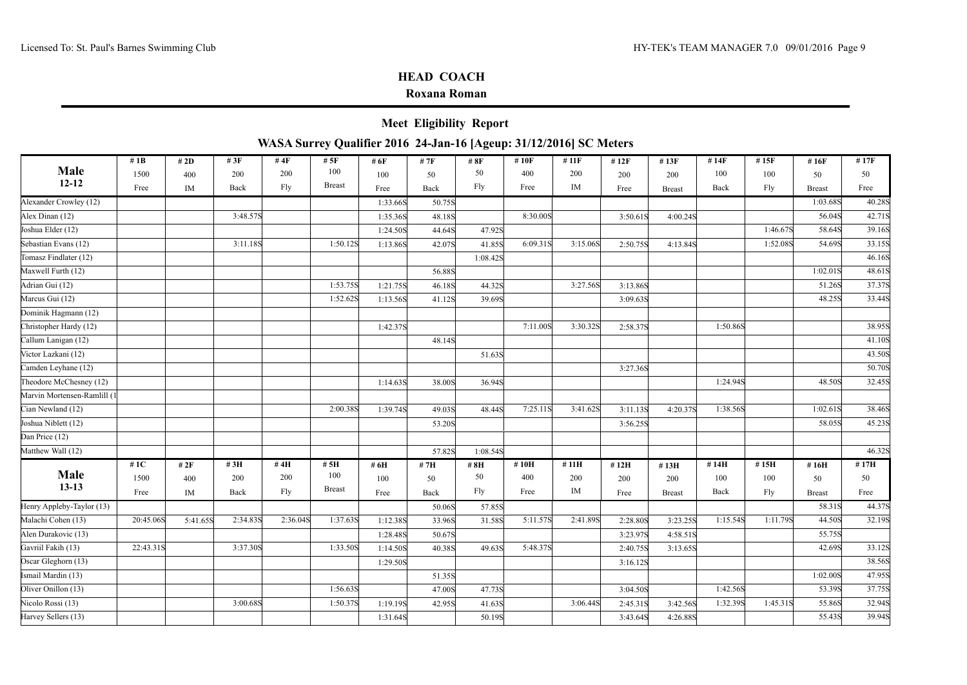|                                                                    | <b>Meet Eligibility Report</b> |  |
|--------------------------------------------------------------------|--------------------------------|--|
| WASA Surrey Qualifier 2016 24-Jan-16 [Ageup: 31/12/2016] SC Meters |                                |  |

|                             | #1B               | # 2D     | #3F      | #4 $F$   | #5F           | # 6F     | # 7F   | #8F      | #10F     | # 11F    | #12F     | #13F          | #14F     | #15F     | #16F          | #17F   |
|-----------------------------|-------------------|----------|----------|----------|---------------|----------|--------|----------|----------|----------|----------|---------------|----------|----------|---------------|--------|
| Male                        | 1500              | 400      | 200      | 200      | 100           | 100      | 50     | 50       | 400      | 200      | 200      | 200           | 100      | 100      | 50            | 50     |
| $12 - 12$                   | Free              | IM       | Back     | Fly      | <b>Breast</b> | Free     | Back   | Fly      | Free     | IM       | Free     | <b>Breast</b> | Back     | Fly      | <b>Breast</b> | Free   |
| Alexander Crowley (12)      |                   |          |          |          |               | 1:33.66S | 50.75S |          |          |          |          |               |          |          | 1:03.68S      | 40.28S |
| Alex Dinan (12)             |                   |          | 3:48.57S |          |               | 1:35.36S | 48.18S |          | 8:30.00S |          | 3:50.61S | 4:00.24S      |          |          | 56.04S        | 42.71S |
| Joshua Elder (12)           |                   |          |          |          |               | 1:24.50S | 44.64S | 47.92S   |          |          |          |               |          | 1:46.67S | 58.64S        | 39.16S |
| Sebastian Evans (12)        |                   |          | 3:11.18S |          | 1:50.12S      | 1:13.86S | 42.07S | 41.85S   | 6:09.31S | 3:15.06S | 2:50.75S | 4:13.84S      |          | 1:52.08S | 54.69S        | 33.15S |
| Tomasz Findlater (12)       |                   |          |          |          |               |          |        | 1:08.42S |          |          |          |               |          |          |               | 46.16S |
| Maxwell Furth (12)          |                   |          |          |          |               |          | 56.88S |          |          |          |          |               |          |          | 1:02.01S      | 48.61S |
| Adrian Gui (12)             |                   |          |          |          | 1:53.75S      | 1:21.75S | 46.18S | 44.32S   |          | 3:27.56S | 3:13.86S |               |          |          | 51.26S        | 37.37S |
| Marcus Gui (12)             |                   |          |          |          | 1:52.62S      | 1:13.56S | 41.12S | 39.69S   |          |          | 3:09.63S |               |          |          | 48.25S        | 33.44S |
| Dominik Hagmann (12)        |                   |          |          |          |               |          |        |          |          |          |          |               |          |          |               |        |
| Christopher Hardy (12)      |                   |          |          |          |               | 1:42.37S |        |          | 7:11.00S | 3:30.32S | 2:58.37S |               | 1:50.86S |          |               | 38.95S |
| Callum Lanigan (12)         |                   |          |          |          |               |          | 48.14S |          |          |          |          |               |          |          |               | 41.10S |
| Victor Lazkani (12)         |                   |          |          |          |               |          |        | 51.63S   |          |          |          |               |          |          |               | 43.50S |
| Camden Leyhane (12)         |                   |          |          |          |               |          |        |          |          |          | 3:27.36S |               |          |          |               | 50.70S |
| Theodore McChesney (12)     |                   |          |          |          |               | 1:14.63S | 38.00S | 36.94S   |          |          |          |               | 1:24.94S |          | 48.50S        | 32.45S |
| Marvin Mortensen-Ramlill (1 |                   |          |          |          |               |          |        |          |          |          |          |               |          |          |               |        |
| Cian Newland (12)           |                   |          |          |          | 2:00.38S      | 1:39.74S | 49.03S | 48.44S   | 7:25.11S | 3:41.62S | 3:11.13S | 4:20.37S      | 1:38.56S |          | 1:02.61S      | 38.46S |
| Joshua Niblett (12)         |                   |          |          |          |               |          | 53.20S |          |          |          | 3:56.25S |               |          |          | 58.05S        | 45.23S |
| Dan Price (12)              |                   |          |          |          |               |          |        |          |          |          |          |               |          |          |               |        |
| Matthew Wall (12)           |                   |          |          |          |               |          | 57.82S | 1:08.54S |          |          |          |               |          |          |               | 46.32S |
|                             | #1 $\overline{C}$ | # $2F$   | #3H      | #4H      | #5H           | # 6H     | #7H    | #8H      | #10H     | #11H     | #12H     | #13H          | #14H     | #15H     | #16H          | #17H   |
| Male                        | 1500              | 400      | 200      | 200      | 100           | 100      | 50     | 50       | 400      | 200      | 200      | 200           | 100      | 100      | 50            | 50     |
| $13 - 13$                   | Free              | IM       | Back     | Fly      | <b>Breast</b> | Free     | Back   | Fly      | Free     | $\rm IM$ | Free     | <b>Breast</b> | Back     | Fly      | <b>Breast</b> | Free   |
| Henry Appleby-Taylor (13)   |                   |          |          |          |               |          | 50.06S | 57.85S   |          |          |          |               |          |          | 58.31S        | 44.37S |
| Malachi Cohen (13)          | 20:45.06S         | 5:41.65S | 2:34.83S | 2:36.04S | 1:37.63S      | 1:12.38S | 33.96S | 31.58S   | 5:11.57S | 2:41.89S | 2:28.80S | 3:23.25S      | 1:15.54S | 1:11.79S | 44.50S        | 32.19S |
| Alen Durakovic (13)         |                   |          |          |          |               | 1:28.48S | 50.67S |          |          |          | 3:23.97S | 4:58.51S      |          |          | 55.75S        |        |
| Gavriil Fakih (13)          | 22:43.31S         |          | 3:37.30S |          | 1:33.50S      | 1:14.50S | 40.38S | 49.63S   | 5:48.37S |          | 2:40.75S | 3:13.65S      |          |          | 42.69S        | 33.12S |
| Oscar Gleghorn (13)         |                   |          |          |          |               | 1:29.50S |        |          |          |          | 3:16.12S |               |          |          |               | 38.56S |
| Ismail Mardin (13)          |                   |          |          |          |               |          | 51.35S |          |          |          |          |               |          |          | 1:02.00S      | 47.95S |
| Oliver Onillon (13)         |                   |          |          |          | 1:56.63S      |          | 47.00S | 47.73S   |          |          | 3:04.50S |               | 1:42.56S |          | 53.39S        | 37.75S |
| Nicolo Rossi (13)           |                   |          | 3:00.68S |          | 1:50.37S      | 1:19.19S | 42.95S | 41.63S   |          | 3:06.44S | 2:45.31S | 3:42.56S      | 1:32.39S | 1:45.31S | 55.86S        | 32.94S |
| Harvey Sellers (13)         |                   |          |          |          |               | 1:31.64S |        | 50.19S   |          |          | 3:43.64S | 4:26.88S      |          |          | 55.43S        | 39.94S |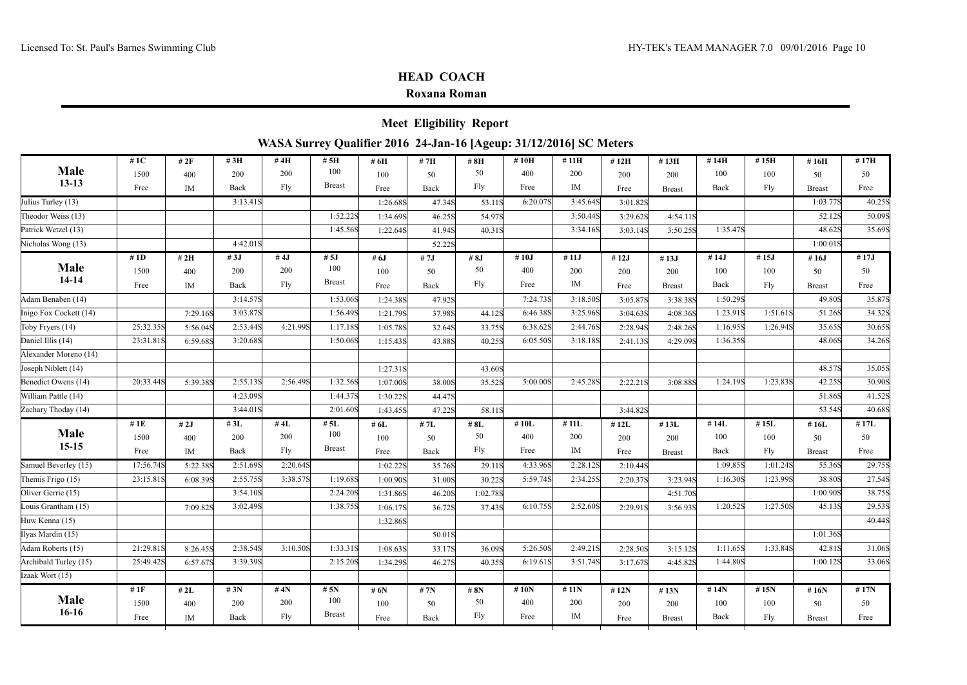| WASA Surrey Qualifier 2016 24-Jan-16 [Ageup: 31/12/2016] SC Meters<br># $1C$<br>#5H<br>#14H<br>#15H<br>#17H<br># 2F<br>#3H<br>#4H<br># 6H<br>#7H<br>#8H<br>#10H<br>#11H<br>#12H<br>#16H<br>#13H<br>Male<br>100<br>50<br>200<br>400<br>1500<br>200<br>50<br>200<br>100<br>100<br>400<br>50<br>200<br>200<br>50<br>100<br>$13 - 13$<br><b>Breast</b><br>Fly<br>IM<br>Fly<br>Free<br>Fly<br>Free<br>Back<br>Back<br>Free<br>IM<br>Back<br>Free<br>Free<br><b>Breast</b><br><b>Breast</b><br>Julius Turley (13)<br>3:13.41S<br>6:20.07S<br>3:45.64S<br>1:03.77S<br>1:26.68S<br>47.34S<br>53.11S<br>3:01.82S<br>1:52.22S<br>Theodor Weiss (13)<br>3:50.44S<br>52.12S<br>54.97S<br>3:29.62S<br>1:34.69S<br>46.25S<br>4:54.11S<br>48.62S<br>Patrick Wetzel (13)<br>1:45.56S<br>3:34.16S<br>1:35.47S<br>1:22.64S<br>41.94S<br>40.31S<br>3:03.14S<br>3:50.25S<br>4:42.01S<br>1:00.01S<br>Nicholas Wong (13)<br>52.22S<br># $3J$<br># $4J$<br># $5J$<br>#10J<br># $14J$<br>#15J<br># $17J$<br># 1D<br># $6J$<br>#8J<br>#11J<br>#12J<br>#2H<br># 7J<br># $13J$<br># $16J$<br>Male<br>100<br>50<br>200<br>400<br>200<br>1500<br>200<br>100<br>50<br>100<br>400<br>50<br>200<br>200<br>50<br>100<br>$14 - 14$<br><b>Breast</b><br>Fly<br>IM<br>Fly<br>Free<br>Back<br>Back<br>Fly<br>Free<br>Free<br>IM<br>Back<br>Free<br><b>Breast</b><br>Free<br><b>Breast</b><br>3:14.57S<br>1:53.06S<br>7:24.73S<br>3:18.50S<br>1:50.29S<br>49.80S<br>Adam Benaben (14)<br>1:24.38S<br>47.92S<br>3:05.87S<br>3:38.38S<br>1:56.49S<br>Inigo Fox Cockett (14)<br>3:03.87S<br>6:46.38S<br>3:25.96S<br>1:23.91S<br>1:51.61S<br>51.26S<br>37.98S<br>44.12S<br>7:29.16S<br>1:21.79S<br>3:04.63S<br>4:08.36S<br>25:32.35S<br>2:53.44S<br>1:17.18S<br>6:38.62S<br>2:44.76S<br>Toby Fryers (14)<br>4:21.99S<br>33.75S<br>1:16.95S<br>1:26.94S<br>35.65S<br>2:28.94S<br>5:56.04S<br>1:05.78S<br>32.64S<br>2:48.26S<br>Daniel Illis (14)<br>23:31.81S<br>3:20.68S<br>1:50.06S<br>6:05.50S<br>3:18.18S<br>1:36.35S<br>48.06S<br>40.25S<br>6:59.68S<br>1:15.43S<br>43.88S<br>2:41.13S<br>4:29.09S<br>Alexander Moreno (14)<br>48.57S<br>Joseph Niblett (14)<br>1:27.31S<br>43.60S<br>2:55.13S<br>2:56.498<br>1:32.56S<br>42.25S<br>Benedict Owens (14)<br>20:33.44S<br>5:00.00S<br>2:45.28S<br>1:24.19S<br>1:23.83S<br>5:39.38S<br>1:07.00S<br>38.00S<br>35.52S<br>2:22.21S<br>3:08.88S<br>4:23.09S<br>1:44.37S<br>51.86S<br>William Pattle (14)<br>1:30.22S<br>44.47S<br>3:44.01S<br>2:01.60S<br>53.54S<br>Zachary Thoday (14)<br>1:43.45S<br>47.22S<br>58.11S<br>3:44.82S<br>#1E<br># $5L$<br># $2J$<br># $3L$<br>#4L<br># $10L$<br># 11L<br>#14L<br>#15L<br>#17L<br># $6L$<br># 7L<br># $8L$<br>#12L<br>#16L<br>#13L<br>Male<br>100<br>50<br>200<br>400<br>200<br>1500<br>200<br>50<br>100<br>100<br>400<br>50<br>200<br>200<br>50<br>100<br>$15 - 15$<br><b>Breast</b><br>Fly<br>IM<br>Fly<br>Free<br>Back<br>Back<br>Fly<br>Free<br>Free<br>IM<br>Back<br>Free<br><b>Breast</b><br>Free<br><b>Breast</b><br>17:56.74S<br>2:51.69S<br>2:20.64S<br>4:33.96S<br>2:28.12S<br>1:09.85S<br>Samuel Beverley (15)<br>1:01.24S<br>55.36S<br>5:22.38S<br>1:02.22S<br>29.11S<br>2:10.44S<br>35.76S<br>2:55.75S<br>3:38.57S<br>Themis Frigo (15)<br>23:15.81S<br>1:19.68S<br>5:59.74S<br>2:34.25S<br>1:16.30S<br>1:23.99S<br>38.80S<br>30.22S<br>3:23.94S<br>6:08.39S<br>1:00.90S<br>31.00S<br>2:20.37S<br>3:54.10S<br>2:24.20S<br>1:00.90S<br>Oliver Gerrie (15)<br>1:02.78S<br>1:31.86S<br>46.20S<br>4:51.70S<br>Louis Grantham (15)<br>3:02.49S<br>1:38.75S<br>6:10.75S<br>2:52.60S<br>1:20.52S<br>1:27.50S<br>45.13S<br>7:09.82S<br>37.43S<br>2:29.91S<br>1:06.17S<br>36.72S<br>3:56.93S<br>Huw Kenna (15)<br>1:32.86S<br>Ilyas Mardin (15)<br>1:01.36S<br>50.01S<br>2:38.54S<br>21:29.81S<br>3:10.50S<br>1:33.31S<br>5:26.50S<br>2:49.21S<br>1:11.65S<br>1:33.84S<br>42.81S<br>Adam Roberts (15)<br>36.09S<br>8:26.45S<br>1:08.63S<br>33.17S<br>2:28.50S<br>3:15.12S<br>Archibald Turley (15)<br>3:39.39S<br>2:15.20S<br>25:49.42S<br>6:19.61S<br>3:51.74S<br>1:44.80S<br>1:00.12S<br>6:57.67S<br>1:34.29S<br>46.27S<br>40.35S<br>3:17.67S<br>4:45.82S<br>Izaak Wort (15)<br>#1 $F$<br># $3N$<br># $4N$<br># $10N$<br># $15N$<br># $5N$<br># $6N$<br># $8N$<br>#11N<br>#14N<br>#17N<br>#2L<br># $7N$<br>#12N<br>#13N<br># $16N$<br>Male<br>100<br>50<br>400<br>1500<br>200<br>200<br>200<br>50<br>100<br>100<br>400<br>50<br>200<br>200<br>50<br>100<br>$16-16$<br><b>Breast</b><br>Fly<br>IM<br>Fly<br>Free<br>Fly<br>Free<br>IM<br>Back<br>Back<br>Free<br>Back<br>Free<br>Free<br><b>Breast</b><br><b>Breast</b> |  |  |  | <b>Meet Eligibility Report</b> |  |  |  |  |        |
|------------------------------------------------------------------------------------------------------------------------------------------------------------------------------------------------------------------------------------------------------------------------------------------------------------------------------------------------------------------------------------------------------------------------------------------------------------------------------------------------------------------------------------------------------------------------------------------------------------------------------------------------------------------------------------------------------------------------------------------------------------------------------------------------------------------------------------------------------------------------------------------------------------------------------------------------------------------------------------------------------------------------------------------------------------------------------------------------------------------------------------------------------------------------------------------------------------------------------------------------------------------------------------------------------------------------------------------------------------------------------------------------------------------------------------------------------------------------------------------------------------------------------------------------------------------------------------------------------------------------------------------------------------------------------------------------------------------------------------------------------------------------------------------------------------------------------------------------------------------------------------------------------------------------------------------------------------------------------------------------------------------------------------------------------------------------------------------------------------------------------------------------------------------------------------------------------------------------------------------------------------------------------------------------------------------------------------------------------------------------------------------------------------------------------------------------------------------------------------------------------------------------------------------------------------------------------------------------------------------------------------------------------------------------------------------------------------------------------------------------------------------------------------------------------------------------------------------------------------------------------------------------------------------------------------------------------------------------------------------------------------------------------------------------------------------------------------------------------------------------------------------------------------------------------------------------------------------------------------------------------------------------------------------------------------------------------------------------------------------------------------------------------------------------------------------------------------------------------------------------------------------------------------------------------------------------------------------------------------------------------------------------------------------------------------------------------------------------------------------------------------------------------------------------------------------------------------------------------------------------------------------------------------------------------------------------------------------------------------------------------------------------------------------------------------------------------------------------------------------------------------------------------------------------------------------------------------------------------------------------------------------------------------------------------------------------------------------------------------------------------------------------------------------------------------------------------------------------------------------------------------------------------------------------------------------------------|--|--|--|--------------------------------|--|--|--|--|--------|
|                                                                                                                                                                                                                                                                                                                                                                                                                                                                                                                                                                                                                                                                                                                                                                                                                                                                                                                                                                                                                                                                                                                                                                                                                                                                                                                                                                                                                                                                                                                                                                                                                                                                                                                                                                                                                                                                                                                                                                                                                                                                                                                                                                                                                                                                                                                                                                                                                                                                                                                                                                                                                                                                                                                                                                                                                                                                                                                                                                                                                                                                                                                                                                                                                                                                                                                                                                                                                                                                                                                                                                                                                                                                                                                                                                                                                                                                                                                                                                                                                                                                                                                                                                                                                                                                                                                                                                                                                                                                                                                                                                              |  |  |  |                                |  |  |  |  |        |
|                                                                                                                                                                                                                                                                                                                                                                                                                                                                                                                                                                                                                                                                                                                                                                                                                                                                                                                                                                                                                                                                                                                                                                                                                                                                                                                                                                                                                                                                                                                                                                                                                                                                                                                                                                                                                                                                                                                                                                                                                                                                                                                                                                                                                                                                                                                                                                                                                                                                                                                                                                                                                                                                                                                                                                                                                                                                                                                                                                                                                                                                                                                                                                                                                                                                                                                                                                                                                                                                                                                                                                                                                                                                                                                                                                                                                                                                                                                                                                                                                                                                                                                                                                                                                                                                                                                                                                                                                                                                                                                                                                              |  |  |  |                                |  |  |  |  |        |
|                                                                                                                                                                                                                                                                                                                                                                                                                                                                                                                                                                                                                                                                                                                                                                                                                                                                                                                                                                                                                                                                                                                                                                                                                                                                                                                                                                                                                                                                                                                                                                                                                                                                                                                                                                                                                                                                                                                                                                                                                                                                                                                                                                                                                                                                                                                                                                                                                                                                                                                                                                                                                                                                                                                                                                                                                                                                                                                                                                                                                                                                                                                                                                                                                                                                                                                                                                                                                                                                                                                                                                                                                                                                                                                                                                                                                                                                                                                                                                                                                                                                                                                                                                                                                                                                                                                                                                                                                                                                                                                                                                              |  |  |  |                                |  |  |  |  |        |
|                                                                                                                                                                                                                                                                                                                                                                                                                                                                                                                                                                                                                                                                                                                                                                                                                                                                                                                                                                                                                                                                                                                                                                                                                                                                                                                                                                                                                                                                                                                                                                                                                                                                                                                                                                                                                                                                                                                                                                                                                                                                                                                                                                                                                                                                                                                                                                                                                                                                                                                                                                                                                                                                                                                                                                                                                                                                                                                                                                                                                                                                                                                                                                                                                                                                                                                                                                                                                                                                                                                                                                                                                                                                                                                                                                                                                                                                                                                                                                                                                                                                                                                                                                                                                                                                                                                                                                                                                                                                                                                                                                              |  |  |  |                                |  |  |  |  |        |
|                                                                                                                                                                                                                                                                                                                                                                                                                                                                                                                                                                                                                                                                                                                                                                                                                                                                                                                                                                                                                                                                                                                                                                                                                                                                                                                                                                                                                                                                                                                                                                                                                                                                                                                                                                                                                                                                                                                                                                                                                                                                                                                                                                                                                                                                                                                                                                                                                                                                                                                                                                                                                                                                                                                                                                                                                                                                                                                                                                                                                                                                                                                                                                                                                                                                                                                                                                                                                                                                                                                                                                                                                                                                                                                                                                                                                                                                                                                                                                                                                                                                                                                                                                                                                                                                                                                                                                                                                                                                                                                                                                              |  |  |  |                                |  |  |  |  | 40.25S |
|                                                                                                                                                                                                                                                                                                                                                                                                                                                                                                                                                                                                                                                                                                                                                                                                                                                                                                                                                                                                                                                                                                                                                                                                                                                                                                                                                                                                                                                                                                                                                                                                                                                                                                                                                                                                                                                                                                                                                                                                                                                                                                                                                                                                                                                                                                                                                                                                                                                                                                                                                                                                                                                                                                                                                                                                                                                                                                                                                                                                                                                                                                                                                                                                                                                                                                                                                                                                                                                                                                                                                                                                                                                                                                                                                                                                                                                                                                                                                                                                                                                                                                                                                                                                                                                                                                                                                                                                                                                                                                                                                                              |  |  |  |                                |  |  |  |  | 50.09S |
|                                                                                                                                                                                                                                                                                                                                                                                                                                                                                                                                                                                                                                                                                                                                                                                                                                                                                                                                                                                                                                                                                                                                                                                                                                                                                                                                                                                                                                                                                                                                                                                                                                                                                                                                                                                                                                                                                                                                                                                                                                                                                                                                                                                                                                                                                                                                                                                                                                                                                                                                                                                                                                                                                                                                                                                                                                                                                                                                                                                                                                                                                                                                                                                                                                                                                                                                                                                                                                                                                                                                                                                                                                                                                                                                                                                                                                                                                                                                                                                                                                                                                                                                                                                                                                                                                                                                                                                                                                                                                                                                                                              |  |  |  |                                |  |  |  |  | 35.69S |
|                                                                                                                                                                                                                                                                                                                                                                                                                                                                                                                                                                                                                                                                                                                                                                                                                                                                                                                                                                                                                                                                                                                                                                                                                                                                                                                                                                                                                                                                                                                                                                                                                                                                                                                                                                                                                                                                                                                                                                                                                                                                                                                                                                                                                                                                                                                                                                                                                                                                                                                                                                                                                                                                                                                                                                                                                                                                                                                                                                                                                                                                                                                                                                                                                                                                                                                                                                                                                                                                                                                                                                                                                                                                                                                                                                                                                                                                                                                                                                                                                                                                                                                                                                                                                                                                                                                                                                                                                                                                                                                                                                              |  |  |  |                                |  |  |  |  |        |
|                                                                                                                                                                                                                                                                                                                                                                                                                                                                                                                                                                                                                                                                                                                                                                                                                                                                                                                                                                                                                                                                                                                                                                                                                                                                                                                                                                                                                                                                                                                                                                                                                                                                                                                                                                                                                                                                                                                                                                                                                                                                                                                                                                                                                                                                                                                                                                                                                                                                                                                                                                                                                                                                                                                                                                                                                                                                                                                                                                                                                                                                                                                                                                                                                                                                                                                                                                                                                                                                                                                                                                                                                                                                                                                                                                                                                                                                                                                                                                                                                                                                                                                                                                                                                                                                                                                                                                                                                                                                                                                                                                              |  |  |  |                                |  |  |  |  |        |
|                                                                                                                                                                                                                                                                                                                                                                                                                                                                                                                                                                                                                                                                                                                                                                                                                                                                                                                                                                                                                                                                                                                                                                                                                                                                                                                                                                                                                                                                                                                                                                                                                                                                                                                                                                                                                                                                                                                                                                                                                                                                                                                                                                                                                                                                                                                                                                                                                                                                                                                                                                                                                                                                                                                                                                                                                                                                                                                                                                                                                                                                                                                                                                                                                                                                                                                                                                                                                                                                                                                                                                                                                                                                                                                                                                                                                                                                                                                                                                                                                                                                                                                                                                                                                                                                                                                                                                                                                                                                                                                                                                              |  |  |  |                                |  |  |  |  |        |
|                                                                                                                                                                                                                                                                                                                                                                                                                                                                                                                                                                                                                                                                                                                                                                                                                                                                                                                                                                                                                                                                                                                                                                                                                                                                                                                                                                                                                                                                                                                                                                                                                                                                                                                                                                                                                                                                                                                                                                                                                                                                                                                                                                                                                                                                                                                                                                                                                                                                                                                                                                                                                                                                                                                                                                                                                                                                                                                                                                                                                                                                                                                                                                                                                                                                                                                                                                                                                                                                                                                                                                                                                                                                                                                                                                                                                                                                                                                                                                                                                                                                                                                                                                                                                                                                                                                                                                                                                                                                                                                                                                              |  |  |  |                                |  |  |  |  |        |
|                                                                                                                                                                                                                                                                                                                                                                                                                                                                                                                                                                                                                                                                                                                                                                                                                                                                                                                                                                                                                                                                                                                                                                                                                                                                                                                                                                                                                                                                                                                                                                                                                                                                                                                                                                                                                                                                                                                                                                                                                                                                                                                                                                                                                                                                                                                                                                                                                                                                                                                                                                                                                                                                                                                                                                                                                                                                                                                                                                                                                                                                                                                                                                                                                                                                                                                                                                                                                                                                                                                                                                                                                                                                                                                                                                                                                                                                                                                                                                                                                                                                                                                                                                                                                                                                                                                                                                                                                                                                                                                                                                              |  |  |  |                                |  |  |  |  | 35.87S |
|                                                                                                                                                                                                                                                                                                                                                                                                                                                                                                                                                                                                                                                                                                                                                                                                                                                                                                                                                                                                                                                                                                                                                                                                                                                                                                                                                                                                                                                                                                                                                                                                                                                                                                                                                                                                                                                                                                                                                                                                                                                                                                                                                                                                                                                                                                                                                                                                                                                                                                                                                                                                                                                                                                                                                                                                                                                                                                                                                                                                                                                                                                                                                                                                                                                                                                                                                                                                                                                                                                                                                                                                                                                                                                                                                                                                                                                                                                                                                                                                                                                                                                                                                                                                                                                                                                                                                                                                                                                                                                                                                                              |  |  |  |                                |  |  |  |  | 34.32S |
|                                                                                                                                                                                                                                                                                                                                                                                                                                                                                                                                                                                                                                                                                                                                                                                                                                                                                                                                                                                                                                                                                                                                                                                                                                                                                                                                                                                                                                                                                                                                                                                                                                                                                                                                                                                                                                                                                                                                                                                                                                                                                                                                                                                                                                                                                                                                                                                                                                                                                                                                                                                                                                                                                                                                                                                                                                                                                                                                                                                                                                                                                                                                                                                                                                                                                                                                                                                                                                                                                                                                                                                                                                                                                                                                                                                                                                                                                                                                                                                                                                                                                                                                                                                                                                                                                                                                                                                                                                                                                                                                                                              |  |  |  |                                |  |  |  |  | 30.65S |
|                                                                                                                                                                                                                                                                                                                                                                                                                                                                                                                                                                                                                                                                                                                                                                                                                                                                                                                                                                                                                                                                                                                                                                                                                                                                                                                                                                                                                                                                                                                                                                                                                                                                                                                                                                                                                                                                                                                                                                                                                                                                                                                                                                                                                                                                                                                                                                                                                                                                                                                                                                                                                                                                                                                                                                                                                                                                                                                                                                                                                                                                                                                                                                                                                                                                                                                                                                                                                                                                                                                                                                                                                                                                                                                                                                                                                                                                                                                                                                                                                                                                                                                                                                                                                                                                                                                                                                                                                                                                                                                                                                              |  |  |  |                                |  |  |  |  | 34.26S |
|                                                                                                                                                                                                                                                                                                                                                                                                                                                                                                                                                                                                                                                                                                                                                                                                                                                                                                                                                                                                                                                                                                                                                                                                                                                                                                                                                                                                                                                                                                                                                                                                                                                                                                                                                                                                                                                                                                                                                                                                                                                                                                                                                                                                                                                                                                                                                                                                                                                                                                                                                                                                                                                                                                                                                                                                                                                                                                                                                                                                                                                                                                                                                                                                                                                                                                                                                                                                                                                                                                                                                                                                                                                                                                                                                                                                                                                                                                                                                                                                                                                                                                                                                                                                                                                                                                                                                                                                                                                                                                                                                                              |  |  |  |                                |  |  |  |  |        |
|                                                                                                                                                                                                                                                                                                                                                                                                                                                                                                                                                                                                                                                                                                                                                                                                                                                                                                                                                                                                                                                                                                                                                                                                                                                                                                                                                                                                                                                                                                                                                                                                                                                                                                                                                                                                                                                                                                                                                                                                                                                                                                                                                                                                                                                                                                                                                                                                                                                                                                                                                                                                                                                                                                                                                                                                                                                                                                                                                                                                                                                                                                                                                                                                                                                                                                                                                                                                                                                                                                                                                                                                                                                                                                                                                                                                                                                                                                                                                                                                                                                                                                                                                                                                                                                                                                                                                                                                                                                                                                                                                                              |  |  |  |                                |  |  |  |  | 35.05S |
|                                                                                                                                                                                                                                                                                                                                                                                                                                                                                                                                                                                                                                                                                                                                                                                                                                                                                                                                                                                                                                                                                                                                                                                                                                                                                                                                                                                                                                                                                                                                                                                                                                                                                                                                                                                                                                                                                                                                                                                                                                                                                                                                                                                                                                                                                                                                                                                                                                                                                                                                                                                                                                                                                                                                                                                                                                                                                                                                                                                                                                                                                                                                                                                                                                                                                                                                                                                                                                                                                                                                                                                                                                                                                                                                                                                                                                                                                                                                                                                                                                                                                                                                                                                                                                                                                                                                                                                                                                                                                                                                                                              |  |  |  |                                |  |  |  |  | 30.90S |
|                                                                                                                                                                                                                                                                                                                                                                                                                                                                                                                                                                                                                                                                                                                                                                                                                                                                                                                                                                                                                                                                                                                                                                                                                                                                                                                                                                                                                                                                                                                                                                                                                                                                                                                                                                                                                                                                                                                                                                                                                                                                                                                                                                                                                                                                                                                                                                                                                                                                                                                                                                                                                                                                                                                                                                                                                                                                                                                                                                                                                                                                                                                                                                                                                                                                                                                                                                                                                                                                                                                                                                                                                                                                                                                                                                                                                                                                                                                                                                                                                                                                                                                                                                                                                                                                                                                                                                                                                                                                                                                                                                              |  |  |  |                                |  |  |  |  | 41.52S |
|                                                                                                                                                                                                                                                                                                                                                                                                                                                                                                                                                                                                                                                                                                                                                                                                                                                                                                                                                                                                                                                                                                                                                                                                                                                                                                                                                                                                                                                                                                                                                                                                                                                                                                                                                                                                                                                                                                                                                                                                                                                                                                                                                                                                                                                                                                                                                                                                                                                                                                                                                                                                                                                                                                                                                                                                                                                                                                                                                                                                                                                                                                                                                                                                                                                                                                                                                                                                                                                                                                                                                                                                                                                                                                                                                                                                                                                                                                                                                                                                                                                                                                                                                                                                                                                                                                                                                                                                                                                                                                                                                                              |  |  |  |                                |  |  |  |  | 40.68S |
|                                                                                                                                                                                                                                                                                                                                                                                                                                                                                                                                                                                                                                                                                                                                                                                                                                                                                                                                                                                                                                                                                                                                                                                                                                                                                                                                                                                                                                                                                                                                                                                                                                                                                                                                                                                                                                                                                                                                                                                                                                                                                                                                                                                                                                                                                                                                                                                                                                                                                                                                                                                                                                                                                                                                                                                                                                                                                                                                                                                                                                                                                                                                                                                                                                                                                                                                                                                                                                                                                                                                                                                                                                                                                                                                                                                                                                                                                                                                                                                                                                                                                                                                                                                                                                                                                                                                                                                                                                                                                                                                                                              |  |  |  |                                |  |  |  |  |        |
|                                                                                                                                                                                                                                                                                                                                                                                                                                                                                                                                                                                                                                                                                                                                                                                                                                                                                                                                                                                                                                                                                                                                                                                                                                                                                                                                                                                                                                                                                                                                                                                                                                                                                                                                                                                                                                                                                                                                                                                                                                                                                                                                                                                                                                                                                                                                                                                                                                                                                                                                                                                                                                                                                                                                                                                                                                                                                                                                                                                                                                                                                                                                                                                                                                                                                                                                                                                                                                                                                                                                                                                                                                                                                                                                                                                                                                                                                                                                                                                                                                                                                                                                                                                                                                                                                                                                                                                                                                                                                                                                                                              |  |  |  |                                |  |  |  |  |        |
|                                                                                                                                                                                                                                                                                                                                                                                                                                                                                                                                                                                                                                                                                                                                                                                                                                                                                                                                                                                                                                                                                                                                                                                                                                                                                                                                                                                                                                                                                                                                                                                                                                                                                                                                                                                                                                                                                                                                                                                                                                                                                                                                                                                                                                                                                                                                                                                                                                                                                                                                                                                                                                                                                                                                                                                                                                                                                                                                                                                                                                                                                                                                                                                                                                                                                                                                                                                                                                                                                                                                                                                                                                                                                                                                                                                                                                                                                                                                                                                                                                                                                                                                                                                                                                                                                                                                                                                                                                                                                                                                                                              |  |  |  |                                |  |  |  |  |        |
|                                                                                                                                                                                                                                                                                                                                                                                                                                                                                                                                                                                                                                                                                                                                                                                                                                                                                                                                                                                                                                                                                                                                                                                                                                                                                                                                                                                                                                                                                                                                                                                                                                                                                                                                                                                                                                                                                                                                                                                                                                                                                                                                                                                                                                                                                                                                                                                                                                                                                                                                                                                                                                                                                                                                                                                                                                                                                                                                                                                                                                                                                                                                                                                                                                                                                                                                                                                                                                                                                                                                                                                                                                                                                                                                                                                                                                                                                                                                                                                                                                                                                                                                                                                                                                                                                                                                                                                                                                                                                                                                                                              |  |  |  |                                |  |  |  |  | 29.75S |
|                                                                                                                                                                                                                                                                                                                                                                                                                                                                                                                                                                                                                                                                                                                                                                                                                                                                                                                                                                                                                                                                                                                                                                                                                                                                                                                                                                                                                                                                                                                                                                                                                                                                                                                                                                                                                                                                                                                                                                                                                                                                                                                                                                                                                                                                                                                                                                                                                                                                                                                                                                                                                                                                                                                                                                                                                                                                                                                                                                                                                                                                                                                                                                                                                                                                                                                                                                                                                                                                                                                                                                                                                                                                                                                                                                                                                                                                                                                                                                                                                                                                                                                                                                                                                                                                                                                                                                                                                                                                                                                                                                              |  |  |  |                                |  |  |  |  | 27.54S |
|                                                                                                                                                                                                                                                                                                                                                                                                                                                                                                                                                                                                                                                                                                                                                                                                                                                                                                                                                                                                                                                                                                                                                                                                                                                                                                                                                                                                                                                                                                                                                                                                                                                                                                                                                                                                                                                                                                                                                                                                                                                                                                                                                                                                                                                                                                                                                                                                                                                                                                                                                                                                                                                                                                                                                                                                                                                                                                                                                                                                                                                                                                                                                                                                                                                                                                                                                                                                                                                                                                                                                                                                                                                                                                                                                                                                                                                                                                                                                                                                                                                                                                                                                                                                                                                                                                                                                                                                                                                                                                                                                                              |  |  |  |                                |  |  |  |  | 38.75S |
|                                                                                                                                                                                                                                                                                                                                                                                                                                                                                                                                                                                                                                                                                                                                                                                                                                                                                                                                                                                                                                                                                                                                                                                                                                                                                                                                                                                                                                                                                                                                                                                                                                                                                                                                                                                                                                                                                                                                                                                                                                                                                                                                                                                                                                                                                                                                                                                                                                                                                                                                                                                                                                                                                                                                                                                                                                                                                                                                                                                                                                                                                                                                                                                                                                                                                                                                                                                                                                                                                                                                                                                                                                                                                                                                                                                                                                                                                                                                                                                                                                                                                                                                                                                                                                                                                                                                                                                                                                                                                                                                                                              |  |  |  |                                |  |  |  |  | 29.53S |
|                                                                                                                                                                                                                                                                                                                                                                                                                                                                                                                                                                                                                                                                                                                                                                                                                                                                                                                                                                                                                                                                                                                                                                                                                                                                                                                                                                                                                                                                                                                                                                                                                                                                                                                                                                                                                                                                                                                                                                                                                                                                                                                                                                                                                                                                                                                                                                                                                                                                                                                                                                                                                                                                                                                                                                                                                                                                                                                                                                                                                                                                                                                                                                                                                                                                                                                                                                                                                                                                                                                                                                                                                                                                                                                                                                                                                                                                                                                                                                                                                                                                                                                                                                                                                                                                                                                                                                                                                                                                                                                                                                              |  |  |  |                                |  |  |  |  | 40.44S |
|                                                                                                                                                                                                                                                                                                                                                                                                                                                                                                                                                                                                                                                                                                                                                                                                                                                                                                                                                                                                                                                                                                                                                                                                                                                                                                                                                                                                                                                                                                                                                                                                                                                                                                                                                                                                                                                                                                                                                                                                                                                                                                                                                                                                                                                                                                                                                                                                                                                                                                                                                                                                                                                                                                                                                                                                                                                                                                                                                                                                                                                                                                                                                                                                                                                                                                                                                                                                                                                                                                                                                                                                                                                                                                                                                                                                                                                                                                                                                                                                                                                                                                                                                                                                                                                                                                                                                                                                                                                                                                                                                                              |  |  |  |                                |  |  |  |  |        |
|                                                                                                                                                                                                                                                                                                                                                                                                                                                                                                                                                                                                                                                                                                                                                                                                                                                                                                                                                                                                                                                                                                                                                                                                                                                                                                                                                                                                                                                                                                                                                                                                                                                                                                                                                                                                                                                                                                                                                                                                                                                                                                                                                                                                                                                                                                                                                                                                                                                                                                                                                                                                                                                                                                                                                                                                                                                                                                                                                                                                                                                                                                                                                                                                                                                                                                                                                                                                                                                                                                                                                                                                                                                                                                                                                                                                                                                                                                                                                                                                                                                                                                                                                                                                                                                                                                                                                                                                                                                                                                                                                                              |  |  |  |                                |  |  |  |  | 31.06S |
|                                                                                                                                                                                                                                                                                                                                                                                                                                                                                                                                                                                                                                                                                                                                                                                                                                                                                                                                                                                                                                                                                                                                                                                                                                                                                                                                                                                                                                                                                                                                                                                                                                                                                                                                                                                                                                                                                                                                                                                                                                                                                                                                                                                                                                                                                                                                                                                                                                                                                                                                                                                                                                                                                                                                                                                                                                                                                                                                                                                                                                                                                                                                                                                                                                                                                                                                                                                                                                                                                                                                                                                                                                                                                                                                                                                                                                                                                                                                                                                                                                                                                                                                                                                                                                                                                                                                                                                                                                                                                                                                                                              |  |  |  |                                |  |  |  |  | 33.06S |
|                                                                                                                                                                                                                                                                                                                                                                                                                                                                                                                                                                                                                                                                                                                                                                                                                                                                                                                                                                                                                                                                                                                                                                                                                                                                                                                                                                                                                                                                                                                                                                                                                                                                                                                                                                                                                                                                                                                                                                                                                                                                                                                                                                                                                                                                                                                                                                                                                                                                                                                                                                                                                                                                                                                                                                                                                                                                                                                                                                                                                                                                                                                                                                                                                                                                                                                                                                                                                                                                                                                                                                                                                                                                                                                                                                                                                                                                                                                                                                                                                                                                                                                                                                                                                                                                                                                                                                                                                                                                                                                                                                              |  |  |  |                                |  |  |  |  |        |
|                                                                                                                                                                                                                                                                                                                                                                                                                                                                                                                                                                                                                                                                                                                                                                                                                                                                                                                                                                                                                                                                                                                                                                                                                                                                                                                                                                                                                                                                                                                                                                                                                                                                                                                                                                                                                                                                                                                                                                                                                                                                                                                                                                                                                                                                                                                                                                                                                                                                                                                                                                                                                                                                                                                                                                                                                                                                                                                                                                                                                                                                                                                                                                                                                                                                                                                                                                                                                                                                                                                                                                                                                                                                                                                                                                                                                                                                                                                                                                                                                                                                                                                                                                                                                                                                                                                                                                                                                                                                                                                                                                              |  |  |  |                                |  |  |  |  |        |
|                                                                                                                                                                                                                                                                                                                                                                                                                                                                                                                                                                                                                                                                                                                                                                                                                                                                                                                                                                                                                                                                                                                                                                                                                                                                                                                                                                                                                                                                                                                                                                                                                                                                                                                                                                                                                                                                                                                                                                                                                                                                                                                                                                                                                                                                                                                                                                                                                                                                                                                                                                                                                                                                                                                                                                                                                                                                                                                                                                                                                                                                                                                                                                                                                                                                                                                                                                                                                                                                                                                                                                                                                                                                                                                                                                                                                                                                                                                                                                                                                                                                                                                                                                                                                                                                                                                                                                                                                                                                                                                                                                              |  |  |  |                                |  |  |  |  |        |
|                                                                                                                                                                                                                                                                                                                                                                                                                                                                                                                                                                                                                                                                                                                                                                                                                                                                                                                                                                                                                                                                                                                                                                                                                                                                                                                                                                                                                                                                                                                                                                                                                                                                                                                                                                                                                                                                                                                                                                                                                                                                                                                                                                                                                                                                                                                                                                                                                                                                                                                                                                                                                                                                                                                                                                                                                                                                                                                                                                                                                                                                                                                                                                                                                                                                                                                                                                                                                                                                                                                                                                                                                                                                                                                                                                                                                                                                                                                                                                                                                                                                                                                                                                                                                                                                                                                                                                                                                                                                                                                                                                              |  |  |  |                                |  |  |  |  |        |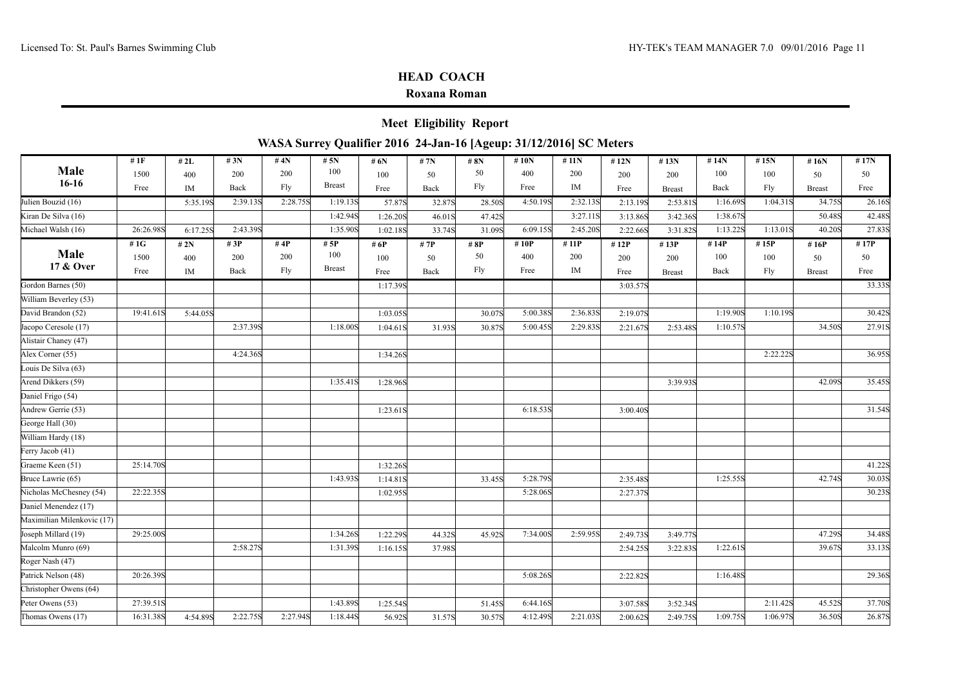|                            |             |            |            |             |                                |                  | <b>Meet Eligibility Report</b>                                     |            |                |             |                  |                |             |             |               |            |
|----------------------------|-------------|------------|------------|-------------|--------------------------------|------------------|--------------------------------------------------------------------|------------|----------------|-------------|------------------|----------------|-------------|-------------|---------------|------------|
|                            |             |            |            |             |                                |                  | WASA Surrey Qualifier 2016 24-Jan-16 [Ageup: 31/12/2016] SC Meters |            |                |             |                  |                |             |             |               |            |
| Male<br>$16-16$            | #1F<br>1500 | #2L<br>400 | #3N<br>200 | # 4N<br>200 | # $5N$<br>100<br><b>Breast</b> | # 6N<br>100      | # 7N<br>50                                                         | # 8N<br>50 | #10 $N$<br>400 | #11N<br>200 | #12N<br>200      | # $13N$<br>200 | #14N<br>100 | #15N<br>100 | #16N<br>50    | #17N<br>50 |
|                            | Free        | IM         | Back       | Fly         |                                | Free             | Back                                                               | Fly        | Free           | IM          | Free             | <b>Breast</b>  | Back        | Fly         | <b>Breast</b> | Free       |
| Julien Bouzid (16)         |             | 5:35.19S   | 2:39.13S   | 2:28.75S    | 1:19.13S                       | 57.87S           | 32.87S                                                             | 28.50S     | 4:50.19S       | 2:32.13S    | 2:13.19S         | 2:53.81S       | 1:16.69S    | 1:04.31S    | 34.75S        | 26.16S     |
| Kiran De Silva (16)        |             |            |            |             | 1:42.94S                       | 1:26.20S         | 46.01S                                                             | 47.42S     |                | 3:27.11S    | 3:13.86S         | 3:42.36S       | 1:38.67S    |             | 50.48S        | 42.48S     |
| Michael Walsh (16)         | 26:26.98S   | 6:17.25S   | 2:43.39S   |             | 1:35.90S                       | 1:02.18S         | 33.74S                                                             | 31.09S     | 6:09.15S       | 2:45.20S    | 2:22.66S         | 3:31.82S       | 1:13.22S    | 1:13.01S    | 40.20S        | 27.83S     |
| Male                       | # 1G        | # $2N$     | #3P        | #4P         | # 5P                           | # 6P             | # 7P                                                               | #8P        | #10P           | #11P        | #12P             | #13P           | #14P        | #15P        | #16P          | #17P       |
| 17 & Over                  | 1500        | 400        | 200        | 200<br>Fly  | 100<br><b>Breast</b>           | 100              | 50                                                                 | 50<br>Fly  | 400<br>Free    | 200<br>IM   | 200              | 200            | 100         | 100         | 50            | 50<br>Free |
| Gordon Barnes (50)         | Free        | IM         | Back       |             |                                | Free<br>1:17.39S | Back                                                               |            |                |             | Free<br>3:03.57S | <b>Breast</b>  | Back        | Fly         | <b>Breast</b> | 33.33S     |
| William Beverley (53)      |             |            |            |             |                                |                  |                                                                    |            |                |             |                  |                |             |             |               |            |
| David Brandon (52)         | 19:41.61S   | 5:44.05S   |            |             |                                | 1:03.05S         |                                                                    | 30.07S     | 5:00.38S       | 2:36.83S    | 2:19.07S         |                | 1:19.90S    | 1:10.19S    |               | 30.42S     |
| Jacopo Ceresole (17)       |             |            | 2:37.398   |             | 1:18.00S                       | 1:04.61S         | 31.93S                                                             | 30.87S     | 5:00.45S       | 2:29.83S    | 2:21.67S         | 2:53.48S       | 1:10.57S    |             | 34.50S        | 27.91S     |
| Alistair Chaney (47)       |             |            |            |             |                                |                  |                                                                    |            |                |             |                  |                |             |             |               |            |
| Alex Corner (55)           |             |            | 4:24.36S   |             |                                | 1:34.26S         |                                                                    |            |                |             |                  |                |             | 2:22.22S    |               | 36.95S     |
| Louis De Silva (63)        |             |            |            |             |                                |                  |                                                                    |            |                |             |                  |                |             |             |               |            |
| Arend Dikkers (59)         |             |            |            |             | 1:35.41S                       | 1:28.96S         |                                                                    |            |                |             |                  | 3:39.93S       |             |             | 42.09S        | 35.45S     |
| Daniel Frigo (54)          |             |            |            |             |                                |                  |                                                                    |            |                |             |                  |                |             |             |               |            |
| Andrew Gerrie (53)         |             |            |            |             |                                | 1:23.61S         |                                                                    |            | 6:18.53S       |             | 3:00.40S         |                |             |             |               | 31.54S     |
| George Hall (30)           |             |            |            |             |                                |                  |                                                                    |            |                |             |                  |                |             |             |               |            |
| William Hardy (18)         |             |            |            |             |                                |                  |                                                                    |            |                |             |                  |                |             |             |               |            |
| Ferry Jacob (41)           |             |            |            |             |                                |                  |                                                                    |            |                |             |                  |                |             |             |               |            |
| Graeme Keen (51)           | 25:14.70S   |            |            |             |                                | 1:32.26S         |                                                                    |            |                |             |                  |                |             |             |               | 41.22S     |
| Bruce Lawrie (65)          |             |            |            |             | 1:43.93S                       | 1:14.81S         |                                                                    | 33.45S     | 5:28.79S       |             | 2:35.48S         |                | 1:25.55S    |             | 42.74S        | 30.03S     |
| Nicholas McChesney (54)    | 22:22.35S   |            |            |             |                                | 1:02.95S         |                                                                    |            | 5:28.06S       |             | 2:27.37S         |                |             |             |               | 30.23S     |
| Daniel Menendez (17)       |             |            |            |             |                                |                  |                                                                    |            |                |             |                  |                |             |             |               |            |
| Maximilian Milenkovic (17) |             |            |            |             |                                |                  |                                                                    |            |                |             |                  |                |             |             |               |            |
| Joseph Millard (19)        | 29:25.00S   |            |            |             | 1:34.26S                       | 1:22.29S         | 44.32S                                                             | 45.92S     | 7:34.00S       | 2:59.95S    | 2:49.738         | 3:49.77S       |             |             | 47.29S        | 34.48S     |
| Malcolm Munro (69)         |             |            | 2:58.27S   |             | 1:31.39S                       | 1:16.15S         | 37.98S                                                             |            |                |             | 2:54.25S         | 3:22.83S       | 1:22.61S    |             | 39.67S        | 33.13S     |
| Roger Nash (47)            |             |            |            |             |                                |                  |                                                                    |            |                |             |                  |                |             |             |               |            |
| Patrick Nelson (48)        | 20:26.39S   |            |            |             |                                |                  |                                                                    |            | 5:08.26S       |             | 2:22.82S         |                | 1:16.48S    |             |               | 29.36S     |
| Christopher Owens (64)     |             |            |            |             |                                |                  |                                                                    |            |                |             |                  |                |             |             |               |            |
| Peter Owens (53)           | 27:39.51S   |            |            |             | 1:43.89S                       | 1:25.54S         |                                                                    | 51.45S     | 6:44.16S       |             | 3:07.58S         | 3:52.34S       |             | 2:11.42S    | 45.52S        | 37.70S     |
| Thomas Owens (17)          | 16:31.38S   | 4:54.89S   | 2:22.75S   | 2:27.94S    | 1:18.44S                       | 56.92S           | 31.57S                                                             | 30.57S     | 4:12.49S       | 2:21.03S    | 2:00.62S         | 2:49.75S       | 1:09.75S    | 1:06.97S    | 36.50S        | 26.87S     |